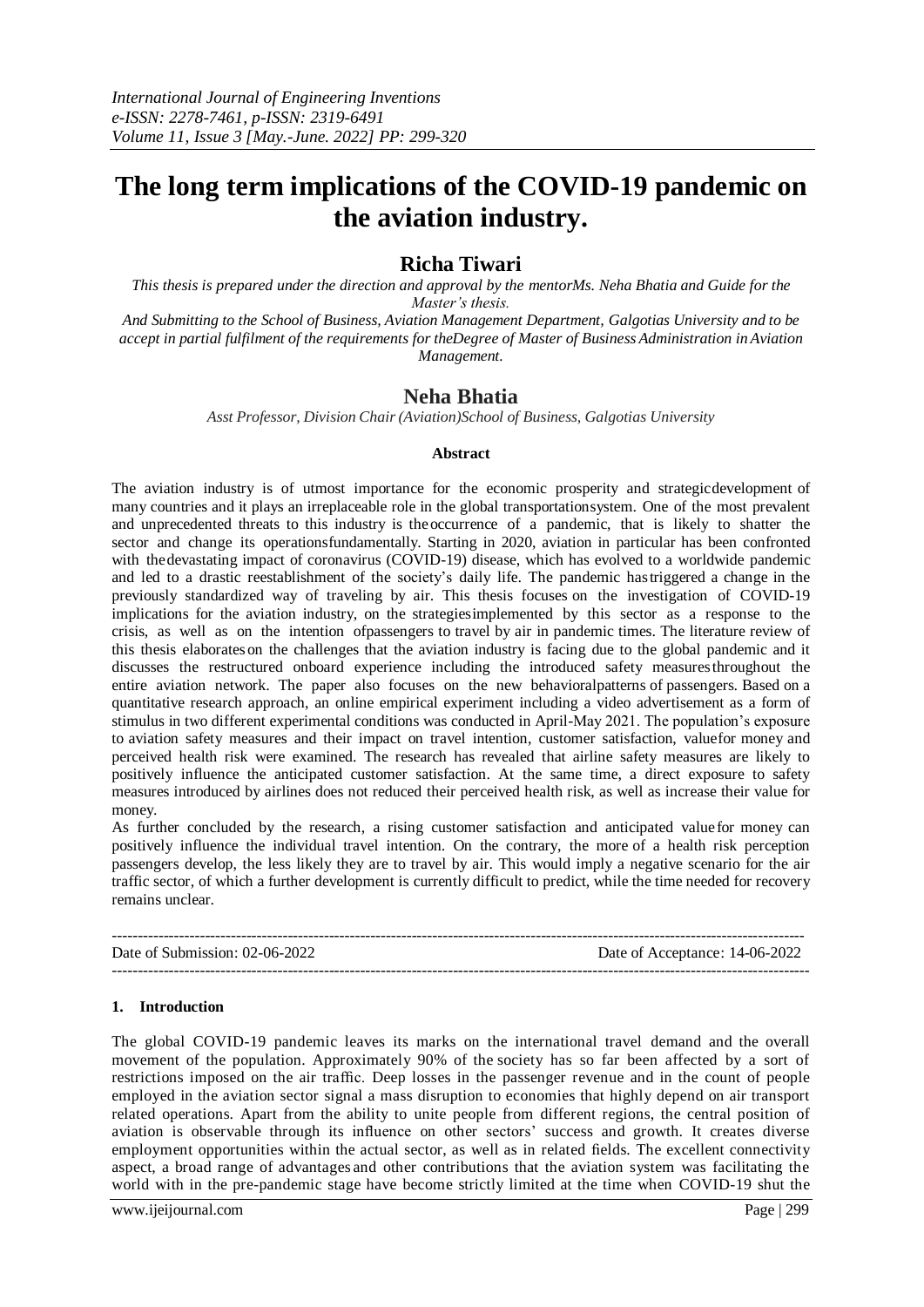# **The long term implications of the COVID-19 pandemic on the aviation industry.**

# **Richa Tiwari**

*This thesis is prepared under the direction and approval by the mentorMs. Neha Bhatia and Guide for the Master's thesis.*

*And Submitting to the School of Business, Aviation Management Department, Galgotias University and to be accept in partial fulfilment of the requirements for theDegree of Master of Business Administration inAviation Management.*

# **Neha Bhatia**

*Asst Professor, Division Chair(Aviation)School of Business, Galgotias University*

#### **Abstract**

The aviation industry is of utmost importance for the economic prosperity and strategicdevelopment of many countries and it plays an irreplaceable role in the global transportationsystem. One of the most prevalent and unprecedented threats to this industry is theoccurrence of a pandemic, that is likely to shatter the sector and change its operationsfundamentally. Starting in 2020, aviation in particular has been confronted with the devastating impact of coronavirus (COVID-19) disease, which has evolved to a worldwide pandemic and led to a drastic reestablishment of the society's daily life. The pandemic hastriggered a change in the previously standardized way of traveling by air. This thesis focuses on the investigation of COVID-19 implications for the aviation industry, on the strategiesimplemented by this sector as a response to the crisis, as well as on the intention ofpassengers to travel by air in pandemic times. The literature review of this thesis elaborateson the challenges that the aviation industry is facing due to the global pandemic and it discusses the restructured onboard experience including the introduced safety measuresthroughout the entire aviation network. The paper also focuses on the new behavioralpatterns of passengers. Based on a quantitative research approach, an online empirical experiment including a video advertisement as a form of stimulus in two different experimental conditions was conducted in April-May 2021. The population's exposure to aviation safety measures and their impact on travel intention, customer satisfaction, valuefor money and perceived health risk were examined. The research has revealed that airline safety measures are likely to positively influence the anticipated customer satisfaction. At the same time, a direct exposure to safety measures introduced by airlines does not reduced their perceived health risk, as well as increase their value for money.

As further concluded by the research, a rising customer satisfaction and anticipated valuefor money can positively influence the individual travel intention. On the contrary, the more of a health risk perception passengers develop, the less likely they are to travel by air. This would imply a negative scenario for the air traffic sector, of which a further development is currently difficult to predict, while the time needed for recovery remains unclear.

-------------------------------------------------------------------------------------------------------------------------------------- Date of Submission: 02-06-2022 Date of Acceptance: 14-06-2022 ---------------------------------------------------------------------------------------------------------------------------------------

#### **1. Introduction**

The global COVID-19 pandemic leaves its marks on the international travel demand and the overall movement of the population. Approximately 90% of the society has so far been affected by a sort of restrictions imposed on the air traffic. Deep losses in the passenger revenue and in the count of people employed in the aviation sector signal a mass disruption to economies that highly depend on air transport related operations. Apart from the ability to unite people from different regions, the central position of aviation is observable through its influence on other sectors' success and growth. It creates diverse employment opportunities within the actual sector, as well as in related fields. The excellent connectivity aspect, a broad range of advantages and other contributions that the aviation system was facilitating the world with in the pre-pandemic stage have become strictly limited at the time when COVID-19 shut the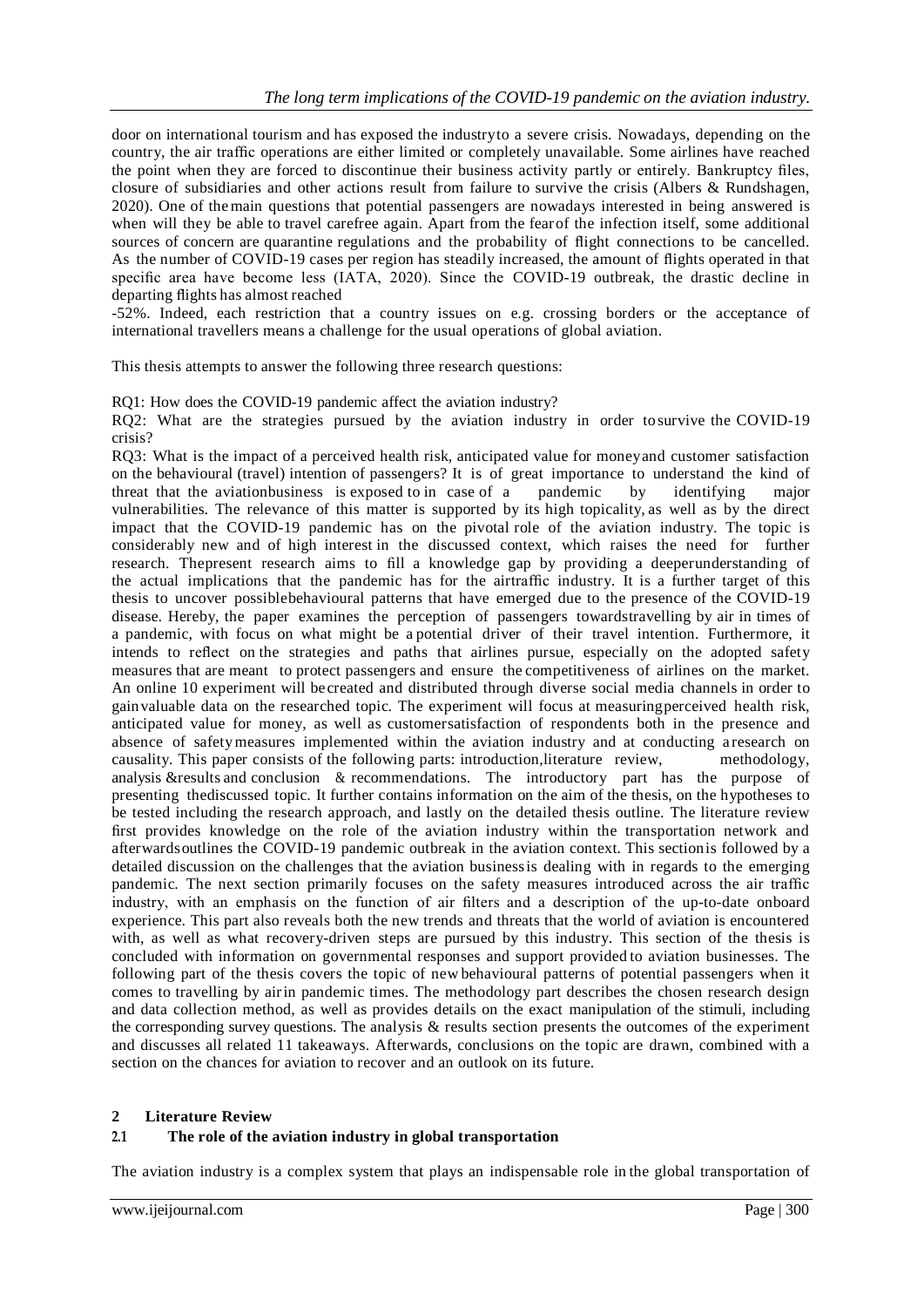door on international tourism and has exposed the industryto a severe crisis. Nowadays, depending on the country, the air traffic operations are either limited or completely unavailable. Some airlines have reached the point when they are forced to discontinue their business activity partly or entirely. Bankruptcy files, closure of subsidiaries and other actions result from failure to survive the crisis (Albers & Rundshagen, 2020). One of themain questions that potential passengers are nowadays interested in being answered is when will they be able to travel carefree again. Apart from the fearof the infection itself, some additional sources of concern are quarantine regulations and the probability of flight connections to be cancelled. As the number of COVID-19 cases per region has steadily increased, the amount of flights operated in that specific area have become less (IATA, 2020). Since the COVID-19 outbreak, the drastic decline in departing flights has almost reached

-52%. Indeed, each restriction that a country issues on e.g. crossing borders or the acceptance of international travellers means a challenge for the usual operations of global aviation.

This thesis attempts to answer the following three research questions:

RQ1: How does the COVID-19 pandemic affect the aviation industry?

RQ2: What are the strategies pursued by the aviation industry in order tosurvive the COVID-19 crisis?

RQ3: What is the impact of a perceived health risk, anticipated value for moneyand customer satisfaction on the behavioural (travel) intention of passengers? It is of great importance to understand the kind of threat that the aviationbusiness is exposed to in case of a pandemic by identifying major vulnerabilities. The relevance of this matter is supported by its high topicality, as well as by the direct impact that the COVID-19 pandemic has on the pivotal role of the aviation industry. The topic is considerably new and of high interest in the discussed context, which raises the need for further research. Thepresent research aims to fill a knowledge gap by providing a deeperunderstanding of the actual implications that the pandemic has for the airtraffic industry. It is a further target of this thesis to uncover possiblebehavioural patterns that have emerged due to the presence of the COVID-19 disease. Hereby, the paper examines the perception of passengers towardstravelling by air in times of a pandemic, with focus on what might be a potential driver of their travel intention. Furthermore, it intends to reflect on the strategies and paths that airlines pursue, especially on the adopted safety measures that are meant to protect passengers and ensure the competitiveness of airlines on the market. An online 10 experiment will becreated and distributed through diverse social media channels in order to gainvaluable data on the researched topic. The experiment will focus at measuringperceived health risk, anticipated value for money, as well as customersatisfaction of respondents both in the presence and absence of safetymeasures implemented within the aviation industry and at conducting a research on causality. This paper consists of the following parts: introduction,literature review, methodology, analysis &results and conclusion & recommendations. The introductory part has the purpose of presenting thediscussed topic. It further contains information on the aim of the thesis, on the hypotheses to be tested including the research approach, and lastly on the detailed thesis outline. The literature review first provides knowledge on the role of the aviation industry within the transportation network and afterwardsoutlines the COVID-19 pandemic outbreak in the aviation context. This sectionis followed by a detailed discussion on the challenges that the aviation businessis dealing with in regards to the emerging pandemic. The next section primarily focuses on the safety measures introduced across the air traffic industry, with an emphasis on the function of air filters and a description of the up-to-date onboard experience. This part also reveals both the new trends and threats that the world of aviation is encountered with, as well as what recovery-driven steps are pursued by this industry. This section of the thesis is concluded with information on governmental responses and support provided to aviation businesses. The following part of the thesis covers the topic of new behavioural patterns of potential passengers when it comes to travelling by airin pandemic times. The methodology part describes the chosen research design and data collection method, as well as provides details on the exact manipulation of the stimuli, including the corresponding survey questions. The analysis  $\&$  results section presents the outcomes of the experiment and discusses all related 11 takeaways. Afterwards, conclusions on the topic are drawn, combined with a section on the chances for aviation to recover and an outlook on its future.

#### **2 Literature Review**

#### **2.1 The role of the aviation industry in global transportation**

The aviation industry is a complex system that plays an indispensable role in the global transportation of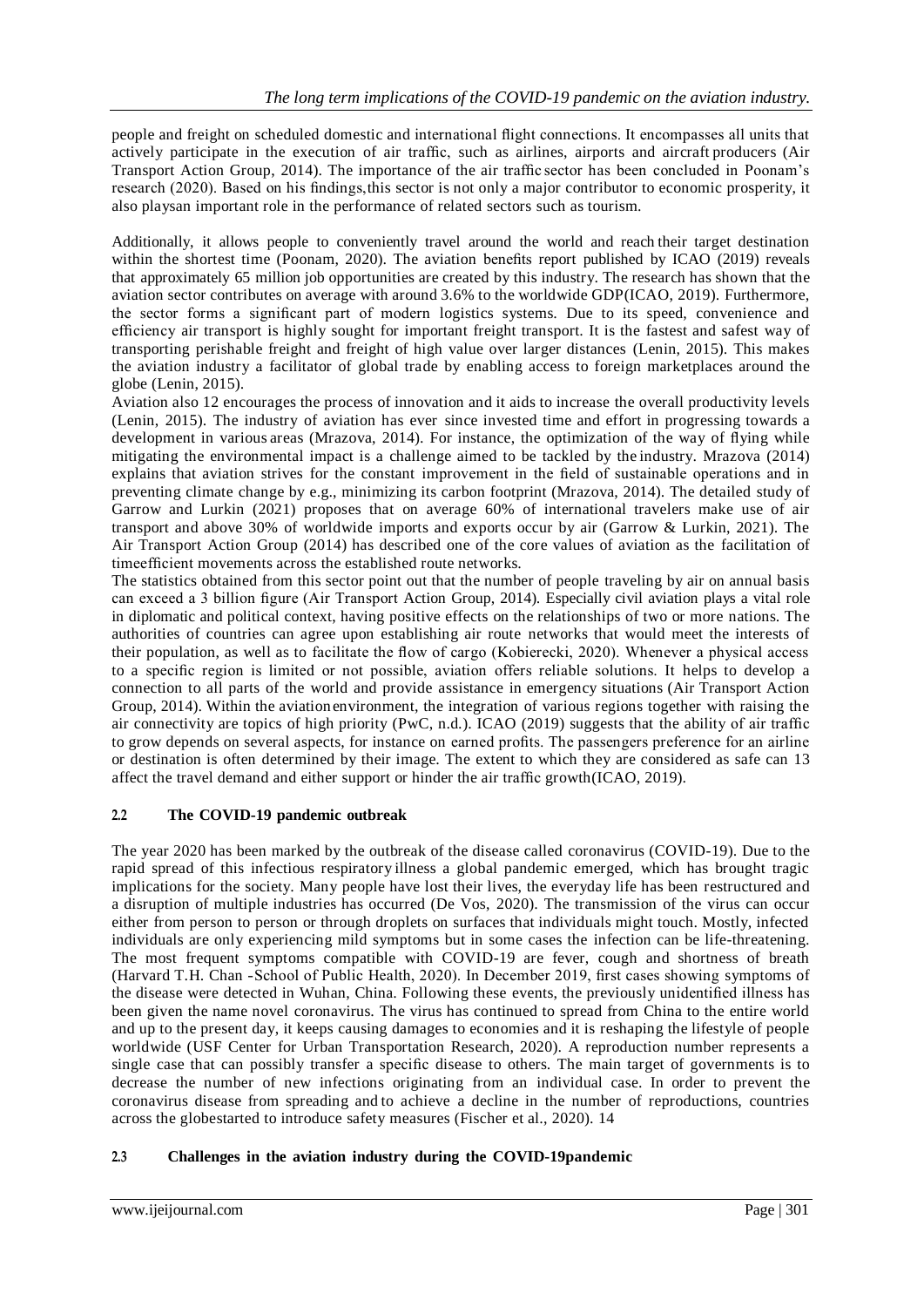people and freight on scheduled domestic and international flight connections. It encompasses all units that actively participate in the execution of air traffic, such as airlines, airports and aircraft producers (Air Transport Action Group, 2014). The importance of the air traffic sector has been concluded in Poonam's research (2020). Based on his findings,this sector is not only a major contributor to economic prosperity, it also playsan important role in the performance of related sectors such as tourism.

Additionally, it allows people to conveniently travel around the world and reach their target destination within the shortest time (Poonam, 2020). The aviation benefits report published by ICAO (2019) reveals that approximately 65 million job opportunities are created by this industry. The research has shown that the aviation sector contributes on average with around 3.6% to the worldwide GDP(ICAO, 2019). Furthermore, the sector forms a significant part of modern logistics systems. Due to its speed, convenience and efficiency air transport is highly sought for important freight transport. It is the fastest and safest way of transporting perishable freight and freight of high value over larger distances (Lenin, 2015). This makes the aviation industry a facilitator of global trade by enabling access to foreign marketplaces around the globe (Lenin, 2015).

Aviation also 12 encourages the process of innovation and it aids to increase the overall productivity levels (Lenin, 2015). The industry of aviation has ever since invested time and effort in progressing towards a development in various areas (Mrazova, 2014). For instance, the optimization of the way of flying while mitigating the environmental impact is a challenge aimed to be tackled by the industry. Mrazova (2014) explains that aviation strives for the constant improvement in the field of sustainable operations and in preventing climate change by e.g., minimizing its carbon footprint (Mrazova, 2014). The detailed study of Garrow and Lurkin (2021) proposes that on average 60% of international travelers make use of air transport and above 30% of worldwide imports and exports occur by air (Garrow & Lurkin, 2021). The Air Transport Action Group (2014) has described one of the core values of aviation as the facilitation of timeefficient movements across the established route networks.

The statistics obtained from this sector point out that the number of people traveling by air on annual basis can exceed a 3 billion figure (Air Transport Action Group, 2014). Especially civil aviation plays a vital role in diplomatic and political context, having positive effects on the relationships of two or more nations. The authorities of countries can agree upon establishing air route networks that would meet the interests of their population, as well as to facilitate the flow of cargo (Kobierecki, 2020). Whenever a physical access to a specific region is limited or not possible, aviation offers reliable solutions. It helps to develop a connection to all parts of the world and provide assistance in emergency situations (Air Transport Action Group, 2014). Within the aviation environment, the integration of various regions together with raising the air connectivity are topics of high priority (PwC, n.d.). ICAO (2019) suggests that the ability of air traffic to grow depends on several aspects, for instance on earned profits. The passengers preference for an airline or destination is often determined by their image. The extent to which they are considered as safe can 13 affect the travel demand and either support or hinder the air traffic growth(ICAO, 2019).

## **2.2 The COVID-19 pandemic outbreak**

The year 2020 has been marked by the outbreak of the disease called coronavirus (COVID-19). Due to the rapid spread of this infectious respiratory illness a global pandemic emerged, which has brought tragic implications for the society. Many people have lost their lives, the everyday life has been restructured and a disruption of multiple industries has occurred (De Vos, 2020). The transmission of the virus can occur either from person to person or through droplets on surfaces that individuals might touch. Mostly, infected individuals are only experiencing mild symptoms but in some cases the infection can be life-threatening. The most frequent symptoms compatible with COVID-19 are fever, cough and shortness of breath (Harvard T.H. Chan -School of Public Health, 2020). In December 2019, first cases showing symptoms of the disease were detected in Wuhan, China. Following these events, the previously unidentified illness has been given the name novel coronavirus. The virus has continued to spread from China to the entire world and up to the present day, it keeps causing damages to economies and it is reshaping the lifestyle of people worldwide (USF Center for Urban Transportation Research, 2020). A reproduction number represents a single case that can possibly transfer a specific disease to others. The main target of governments is to decrease the number of new infections originating from an individual case. In order to prevent the coronavirus disease from spreading and to achieve a decline in the number of reproductions, countries across the globestarted to introduce safety measures (Fischer et al., 2020). 14

## **2.3 Challenges in the aviation industry during the COVID-19pandemic**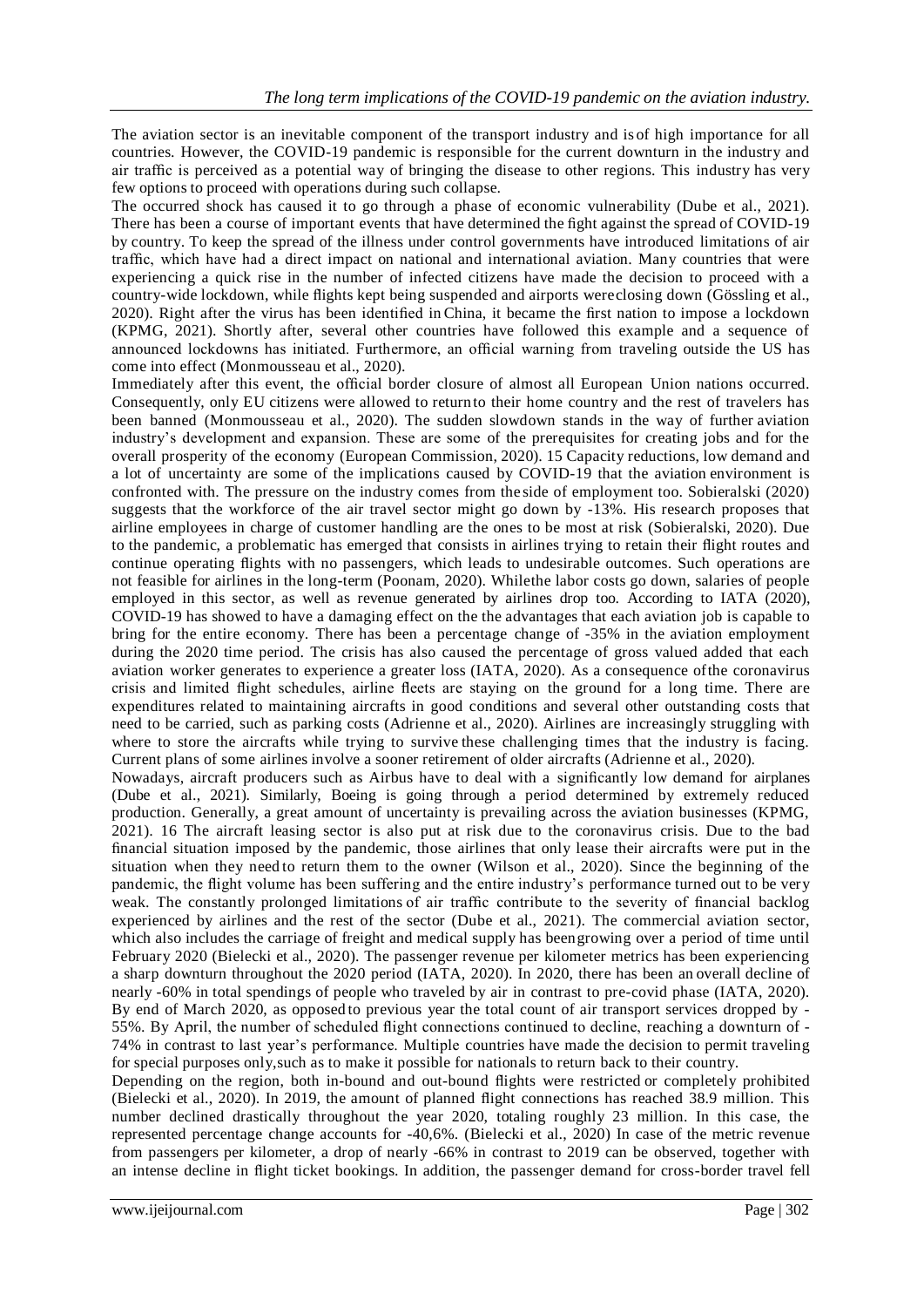The aviation sector is an inevitable component of the transport industry and is of high importance for all countries. However, the COVID-19 pandemic is responsible for the current downturn in the industry and air traffic is perceived as a potential way of bringing the disease to other regions. This industry has very few options to proceed with operations during such collapse.

The occurred shock has caused it to go through a phase of economic vulnerability (Dube et al., 2021). There has been a course of important events that have determined the fight against the spread of COVID-19 by country. To keep the spread of the illness under control governments have introduced limitations of air traffic, which have had a direct impact on national and international aviation. Many countries that were experiencing a quick rise in the number of infected citizens have made the decision to proceed with a country-wide lockdown, while flights kept being suspended and airports wereclosing down (Gössling et al., 2020). Right after the virus has been identified in China, it became the first nation to impose a lockdown (KPMG, 2021). Shortly after, several other countries have followed this example and a sequence of announced lockdowns has initiated. Furthermore, an official warning from traveling outside the US has come into effect (Monmousseau et al., 2020).

Immediately after this event, the official border closure of almost all European Union nations occurred. Consequently, only EU citizens were allowed to returnto their home country and the rest of travelers has been banned (Monmousseau et al., 2020). The sudden slowdown stands in the way of further aviation industry's development and expansion. These are some of the prerequisites for creating jobs and for the overall prosperity of the economy (European Commission, 2020). 15 Capacity reductions, low demand and a lot of uncertainty are some of the implications caused by COVID-19 that the aviation environment is confronted with. The pressure on the industry comes from the side of employment too. Sobieralski (2020) suggests that the workforce of the air travel sector might go down by -13%. His research proposes that airline employees in charge of customer handling are the ones to be most at risk (Sobieralski, 2020). Due to the pandemic, a problematic has emerged that consists in airlines trying to retain their flight routes and continue operating flights with no passengers, which leads to undesirable outcomes. Such operations are not feasible for airlines in the long-term (Poonam, 2020). Whilethe labor costs go down, salaries of people employed in this sector, as well as revenue generated by airlines drop too. According to IATA (2020), COVID-19 has showed to have a damaging effect on the the advantages that each aviation job is capable to bring for the entire economy. There has been a percentage change of -35% in the aviation employment during the 2020 time period. The crisis has also caused the percentage of gross valued added that each aviation worker generates to experience a greater loss (IATA, 2020). As a consequence ofthe coronavirus crisis and limited flight schedules, airline fleets are staying on the ground for a long time. There are expenditures related to maintaining aircrafts in good conditions and several other outstanding costs that need to be carried, such as parking costs (Adrienne et al., 2020). Airlines are increasingly struggling with where to store the aircrafts while trying to survive these challenging times that the industry is facing. Current plans of some airlines involve a sooner retirement of older aircrafts (Adrienne et al., 2020).

Nowadays, aircraft producers such as Airbus have to deal with a significantly low demand for airplanes (Dube et al., 2021). Similarly, Boeing is going through a period determined by extremely reduced production. Generally, a great amount of uncertainty is prevailing across the aviation businesses (KPMG, 2021). 16 The aircraft leasing sector is also put at risk due to the coronavirus crisis. Due to the bad financial situation imposed by the pandemic, those airlines that only lease their aircrafts were put in the situation when they need to return them to the owner (Wilson et al., 2020). Since the beginning of the pandemic, the flight volume has been suffering and the entire industry's performance turned out to be very weak. The constantly prolonged limitations of air traffic contribute to the severity of financial backlog experienced by airlines and the rest of the sector (Dube et al., 2021). The commercial aviation sector, which also includes the carriage of freight and medical supply has beengrowing over a period of time until February 2020 (Bielecki et al., 2020). The passenger revenue per kilometer metrics has been experiencing a sharp downturn throughout the 2020 period (IATA, 2020). In 2020, there has been an overall decline of nearly -60% in total spendings of people who traveled by air in contrast to pre-covid phase (IATA, 2020). By end of March 2020, as opposed to previous year the total count of air transport services dropped by - 55%. By April, the number of scheduled flight connections continued to decline, reaching a downturn of - 74% in contrast to last year's performance. Multiple countries have made the decision to permit traveling for special purposes only,such as to make it possible for nationals to return back to their country.

Depending on the region, both in-bound and out-bound flights were restricted or completely prohibited (Bielecki et al., 2020). In 2019, the amount of planned flight connections has reached 38.9 million. This number declined drastically throughout the year 2020, totaling roughly 23 million. In this case, the represented percentage change accounts for -40,6%. (Bielecki et al., 2020) In case of the metric revenue from passengers per kilometer, a drop of nearly -66% in contrast to 2019 can be observed, together with an intense decline in flight ticket bookings. In addition, the passenger demand for cross-border travel fell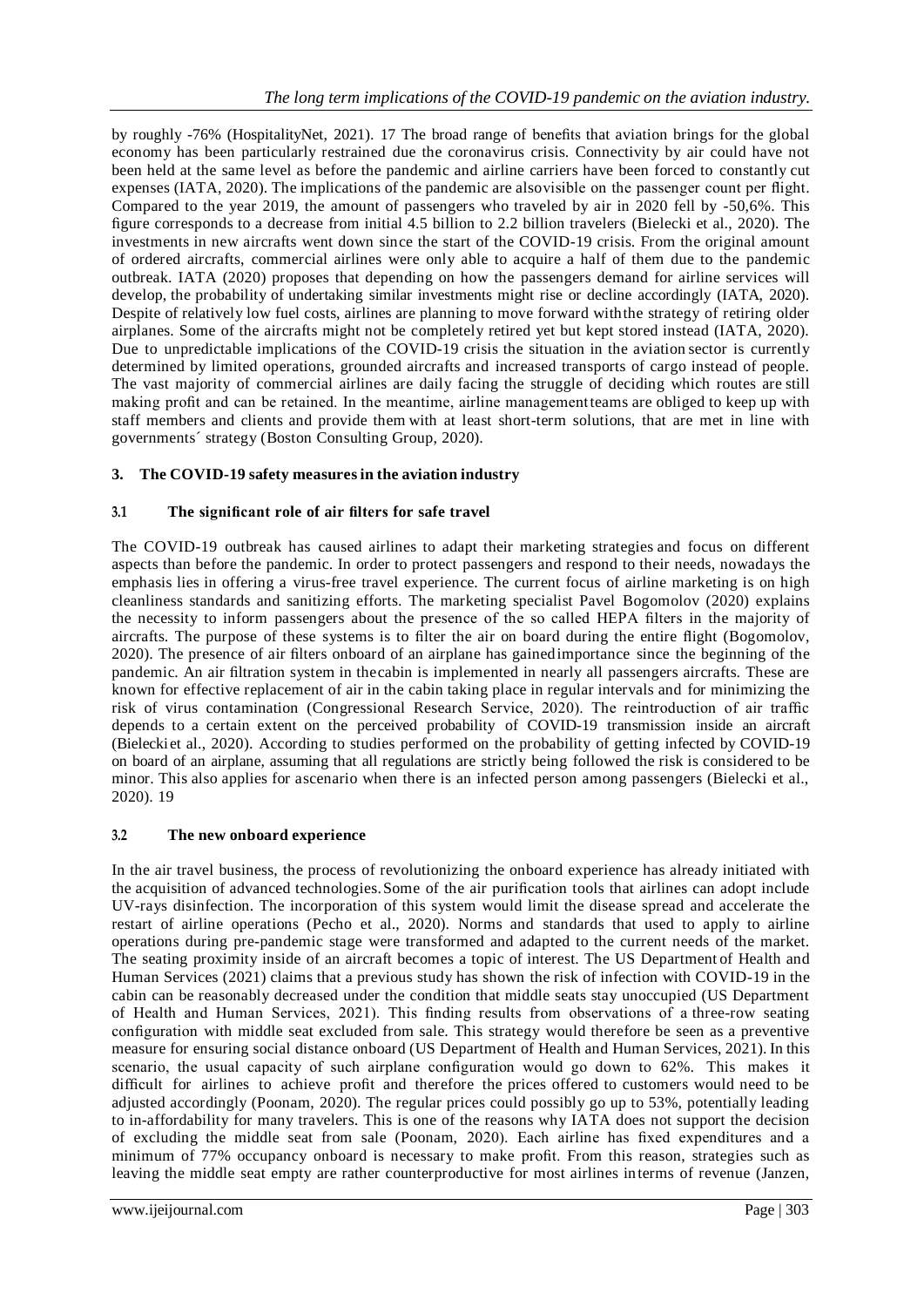by roughly -76% (HospitalityNet, 2021). 17 The broad range of benefits that aviation brings for the global economy has been particularly restrained due the coronavirus crisis. Connectivity by air could have not been held at the same level as before the pandemic and airline carriers have been forced to constantly cut expenses (IATA, 2020). The implications of the pandemic are alsovisible on the passenger count per flight. Compared to the year 2019, the amount of passengers who traveled by air in 2020 fell by -50,6%. This figure corresponds to a decrease from initial 4.5 billion to 2.2 billion travelers (Bielecki et al., 2020). The investments in new aircrafts went down since the start of the COVID-19 crisis. From the original amount of ordered aircrafts, commercial airlines were only able to acquire a half of them due to the pandemic outbreak. IATA (2020) proposes that depending on how the passengers demand for airline services will develop, the probability of undertaking similar investments might rise or decline accordingly (IATA, 2020). Despite of relatively low fuel costs, airlines are planning to move forward withthe strategy of retiring older airplanes. Some of the aircrafts might not be completely retired yet but kept stored instead (IATA, 2020). Due to unpredictable implications of the COVID-19 crisis the situation in the aviation sector is currently determined by limited operations, grounded aircrafts and increased transports of cargo instead of people. The vast majority of commercial airlines are daily facing the struggle of deciding which routes are still making profit and can be retained. In the meantime, airline managementteams are obliged to keep up with staff members and clients and provide them with at least short-term solutions, that are met in line with governments´ strategy (Boston Consulting Group, 2020).

# **3. The COVID-19 safety measuresin the aviation industry**

# **3.1 The significant role of air filters for safe travel**

The COVID-19 outbreak has caused airlines to adapt their marketing strategies and focus on different aspects than before the pandemic. In order to protect passengers and respond to their needs, nowadays the emphasis lies in offering a virus-free travel experience. The current focus of airline marketing is on high cleanliness standards and sanitizing efforts. The marketing specialist Pavel Bogomolov (2020) explains the necessity to inform passengers about the presence of the so called HEPA filters in the majority of aircrafts. The purpose of these systems is to filter the air on board during the entire flight (Bogomolov, 2020). The presence of air filters onboard of an airplane has gainedimportance since the beginning of the pandemic. An air filtration system in thecabin is implemented in nearly all passengers aircrafts. These are known for effective replacement of air in the cabin taking place in regular intervals and for minimizing the risk of virus contamination (Congressional Research Service, 2020). The reintroduction of air traffic depends to a certain extent on the perceived probability of COVID-19 transmission inside an aircraft (Bieleckiet al., 2020). According to studies performed on the probability of getting infected by COVID-19 on board of an airplane, assuming that all regulations are strictly being followed the risk is considered to be minor. This also applies for ascenario when there is an infected person among passengers (Bielecki et al., 2020). 19

## **3.2 The new onboard experience**

In the air travel business, the process of revolutionizing the onboard experience has already initiated with the acquisition of advanced technologies.Some of the air purification tools that airlines can adopt include UV-rays disinfection. The incorporation of this system would limit the disease spread and accelerate the restart of airline operations (Pecho et al., 2020). Norms and standards that used to apply to airline operations during pre-pandemic stage were transformed and adapted to the current needs of the market. The seating proximity inside of an aircraft becomes a topic of interest. The US Department of Health and Human Services (2021) claims that a previous study has shown the risk of infection with COVID-19 in the cabin can be reasonably decreased under the condition that middle seats stay unoccupied (US Department of Health and Human Services, 2021). This finding results from observations of a three-row seating configuration with middle seat excluded from sale. This strategy would therefore be seen as a preventive measure for ensuring social distance onboard (US Department of Health and Human Services, 2021). In this scenario, the usual capacity of such airplane configuration would go down to 62%. This makes it difficult for airlines to achieve profit and therefore the prices offered to customers would need to be adjusted accordingly (Poonam, 2020). The regular prices could possibly go up to 53%, potentially leading to in-affordability for many travelers. This is one of the reasons why IATA does not support the decision of excluding the middle seat from sale (Poonam, 2020). Each airline has fixed expenditures and a minimum of 77% occupancy onboard is necessary to make profit. From this reason, strategies such as leaving the middle seat empty are rather counterproductive for most airlines interms of revenue (Janzen,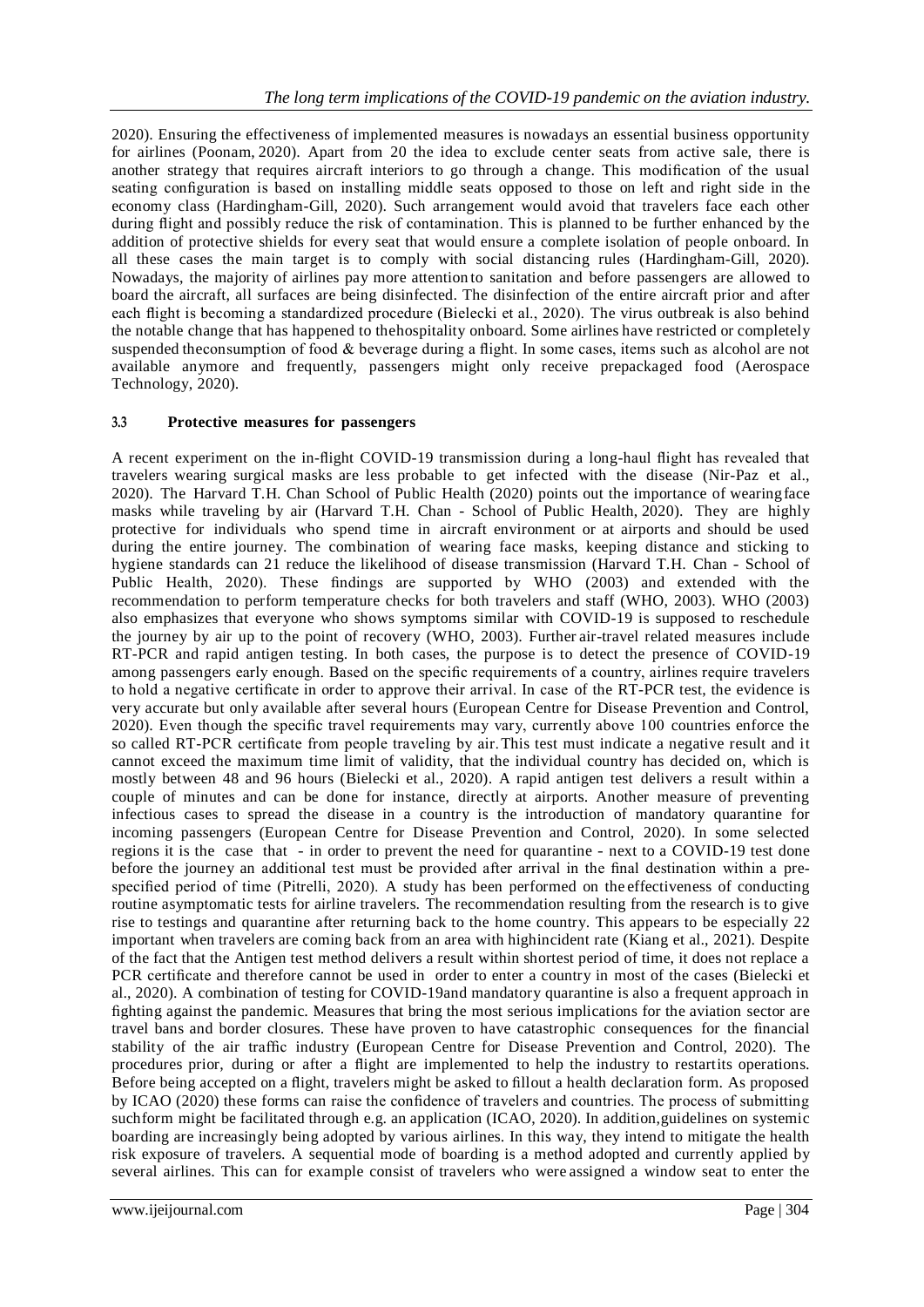2020). Ensuring the effectiveness of implemented measures is nowadays an essential business opportunity for airlines (Poonam, 2020). Apart from 20 the idea to exclude center seats from active sale, there is another strategy that requires aircraft interiors to go through a change. This modification of the usual seating configuration is based on installing middle seats opposed to those on left and right side in the economy class (Hardingham-Gill, 2020). Such arrangement would avoid that travelers face each other during flight and possibly reduce the risk of contamination. This is planned to be further enhanced by the addition of protective shields for every seat that would ensure a complete isolation of people onboard. In all these cases the main target is to comply with social distancing rules (Hardingham-Gill, 2020). Nowadays, the majority of airlines pay more attention to sanitation and before passengers are allowed to board the aircraft, all surfaces are being disinfected. The disinfection of the entire aircraft prior and after each flight is becoming a standardized procedure (Bielecki et al., 2020). The virus outbreak is also behind the notable change that has happened to thehospitality onboard. Some airlines have restricted or completely suspended theconsumption of food & beverage during a flight. In some cases, items such as alcohol are not available anymore and frequently, passengers might only receive prepackaged food (Aerospace Technology, 2020).

#### **3.3 Protective measures for passengers**

A recent experiment on the in-flight COVID-19 transmission during a long-haul flight has revealed that travelers wearing surgical masks are less probable to get infected with the disease (Nir-Paz et al., 2020). The Harvard T.H. Chan School of Public Health (2020) points out the importance of wearingface masks while traveling by air (Harvard T.H. Chan - School of Public Health, 2020). They are highly protective for individuals who spend time in aircraft environment or at airports and should be used during the entire journey. The combination of wearing face masks, keeping distance and sticking to hygiene standards can 21 reduce the likelihood of disease transmission (Harvard T.H. Chan - School of Public Health, 2020). These findings are supported by WHO (2003) and extended with the recommendation to perform temperature checks for both travelers and staff (WHO, 2003). WHO (2003) also emphasizes that everyone who shows symptoms similar with COVID-19 is supposed to reschedule the journey by air up to the point of recovery (WHO, 2003). Further air-travel related measures include RT-PCR and rapid antigen testing. In both cases, the purpose is to detect the presence of COVID-19 among passengers early enough. Based on the specific requirements of a country, airlines require travelers to hold a negative certificate in order to approve their arrival. In case of the RT-PCR test, the evidence is very accurate but only available after several hours (European Centre for Disease Prevention and Control, 2020). Even though the specific travel requirements may vary, currently above 100 countries enforce the so called RT-PCR certificate from people traveling by air.This test must indicate a negative result and it cannot exceed the maximum time limit of validity, that the individual country has decided on, which is mostly between 48 and 96 hours (Bielecki et al., 2020). A rapid antigen test delivers a result within a couple of minutes and can be done for instance, directly at airports. Another measure of preventing infectious cases to spread the disease in a country is the introduction of mandatory quarantine for incoming passengers (European Centre for Disease Prevention and Control, 2020). In some selected regions it is the case that - in order to prevent the need for quarantine - next to a COVID-19 test done before the journey an additional test must be provided after arrival in the final destination within a prespecified period of time (Pitrelli, 2020). A study has been performed on the effectiveness of conducting routine asymptomatic tests for airline travelers. The recommendation resulting from the research is to give rise to testings and quarantine after returning back to the home country. This appears to be especially 22 important when travelers are coming back from an area with highincident rate (Kiang et al., 2021). Despite of the fact that the Antigen test method delivers a result within shortest period of time, it does not replace a PCR certificate and therefore cannot be used in order to enter a country in most of the cases (Bielecki et al., 2020). A combination of testing for COVID-19and mandatory quarantine is also a frequent approach in fighting against the pandemic. Measures that bring the most serious implications for the aviation sector are travel bans and border closures. These have proven to have catastrophic consequences for the financial stability of the air traffic industry (European Centre for Disease Prevention and Control, 2020). The procedures prior, during or after a flight are implemented to help the industry to restartits operations. Before being accepted on a flight, travelers might be asked to fillout a health declaration form. As proposed by ICAO (2020) these forms can raise the confidence of travelers and countries. The process of submitting suchform might be facilitated through e.g. an application (ICAO, 2020). In addition,guidelines on systemic boarding are increasingly being adopted by various airlines. In this way, they intend to mitigate the health risk exposure of travelers. A sequential mode of boarding is a method adopted and currently applied by several airlines. This can for example consist of travelers who were assigned a window seat to enter the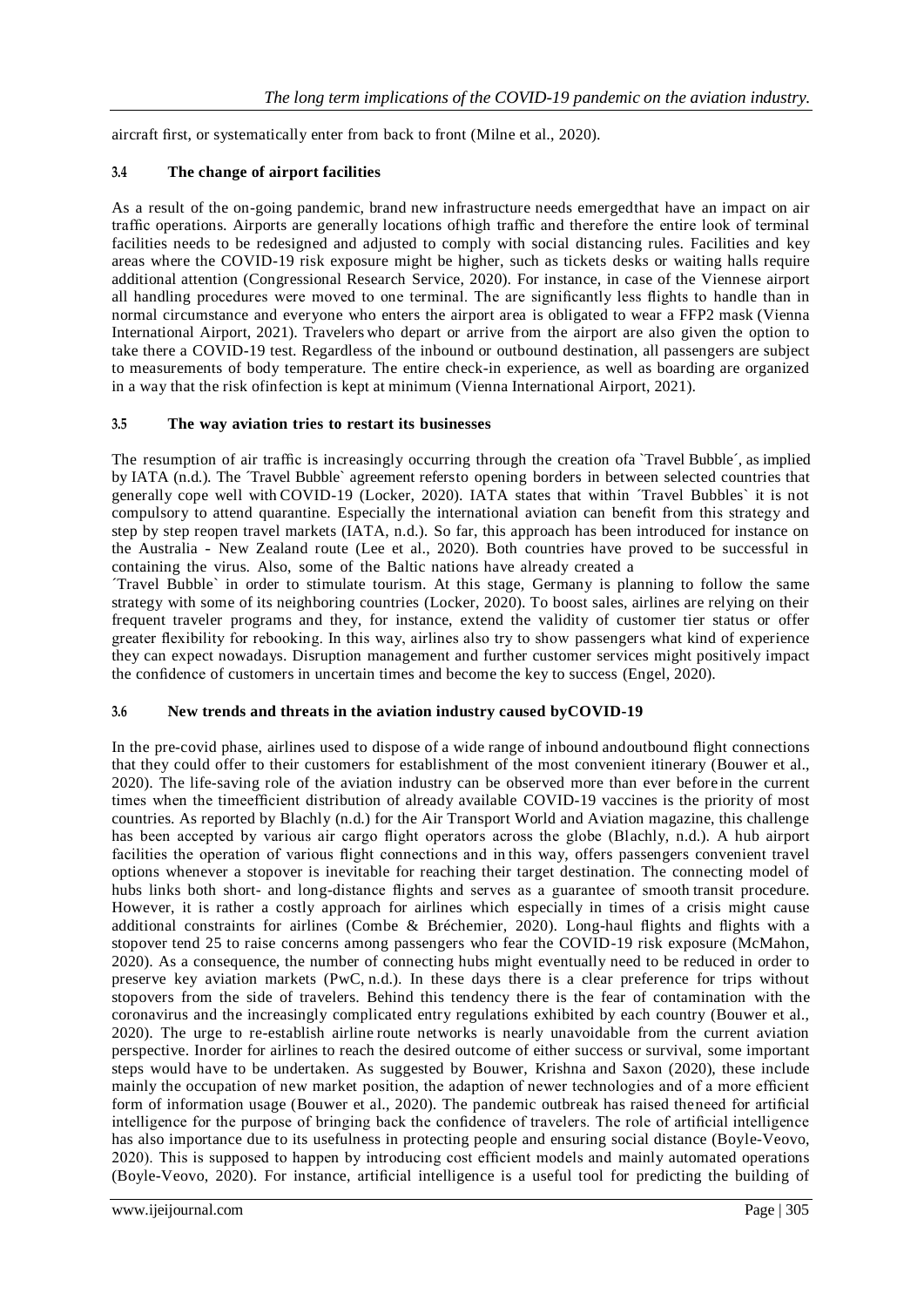aircraft first, or systematically enter from back to front (Milne et al., 2020).

## **3.4 The change of airport facilities**

As a result of the on-going pandemic, brand new infrastructure needs emergedthat have an impact on air traffic operations. Airports are generally locations ofhigh traffic and therefore the entire look of terminal facilities needs to be redesigned and adjusted to comply with social distancing rules. Facilities and key areas where the COVID-19 risk exposure might be higher, such as tickets desks or waiting halls require additional attention (Congressional Research Service, 2020). For instance, in case of the Viennese airport all handling procedures were moved to one terminal. The are significantly less flights to handle than in normal circumstance and everyone who enters the airport area is obligated to wear a FFP2 mask (Vienna International Airport, 2021). Travelers who depart or arrive from the airport are also given the option to take there a COVID-19 test. Regardless of the inbound or outbound destination, all passengers are subject to measurements of body temperature. The entire check-in experience, as well as boarding are organized in a way that the risk ofinfection is kept at minimum (Vienna International Airport, 2021).

#### **3.5 The way aviation tries to restart its businesses**

The resumption of air traffic is increasingly occurring through the creation ofa `Travel Bubble´, as implied by IATA (n.d.). The ´Travel Bubble` agreement refersto opening borders in between selected countries that generally cope well with COVID-19 (Locker, 2020). IATA states that within ´Travel Bubbles` it is not compulsory to attend quarantine. Especially the international aviation can benefit from this strategy and step by step reopen travel markets (IATA, n.d.). So far, this approach has been introduced for instance on the Australia - New Zealand route (Lee et al., 2020). Both countries have proved to be successful in containing the virus. Also, some of the Baltic nations have already created a

´Travel Bubble` in order to stimulate tourism. At this stage, Germany is planning to follow the same strategy with some of its neighboring countries (Locker, 2020). To boost sales, airlines are relying on their frequent traveler programs and they, for instance, extend the validity of customer tier status or offer greater flexibility for rebooking. In this way, airlines also try to show passengers what kind of experience they can expect nowadays. Disruption management and further customer services might positively impact the confidence of customers in uncertain times and become the key to success (Engel, 2020).

## **3.6 New trends and threats in the aviation industry caused byCOVID-19**

In the pre-covid phase, airlines used to dispose of a wide range of inbound andoutbound flight connections that they could offer to their customers for establishment of the most convenient itinerary (Bouwer et al., 2020). The life-saving role of the aviation industry can be observed more than ever before in the current times when the timeefficient distribution of already available COVID-19 vaccines is the priority of most countries. As reported by Blachly (n.d.) for the Air Transport World and Aviation magazine, this challenge has been accepted by various air cargo flight operators across the globe (Blachly, n.d.). A hub airport facilities the operation of various flight connections and in this way, offers passengers convenient travel options whenever a stopover is inevitable for reaching their target destination. The connecting model of hubs links both short- and long-distance flights and serves as a guarantee of smooth transit procedure. However, it is rather a costly approach for airlines which especially in times of a crisis might cause additional constraints for airlines (Combe & Bréchemier, 2020). Long-haul flights and flights with a stopover tend 25 to raise concerns among passengers who fear the COVID-19 risk exposure (McMahon, 2020). As a consequence, the number of connecting hubs might eventually need to be reduced in order to preserve key aviation markets (PwC, n.d.). In these days there is a clear preference for trips without stopovers from the side of travelers. Behind this tendency there is the fear of contamination with the coronavirus and the increasingly complicated entry regulations exhibited by each country (Bouwer et al., 2020). The urge to re-establish airline route networks is nearly unavoidable from the current aviation perspective. Inorder for airlines to reach the desired outcome of either success or survival, some important steps would have to be undertaken. As suggested by Bouwer, Krishna and Saxon (2020), these include mainly the occupation of new market position, the adaption of newer technologies and of a more efficient form of information usage (Bouwer et al., 2020). The pandemic outbreak has raised theneed for artificial intelligence for the purpose of bringing back the confidence of travelers. The role of artificial intelligence has also importance due to its usefulness in protecting people and ensuring social distance (Boyle-Veovo, 2020). This is supposed to happen by introducing cost efficient models and mainly automated operations (Boyle-Veovo, 2020). For instance, artificial intelligence is a useful tool for predicting the building of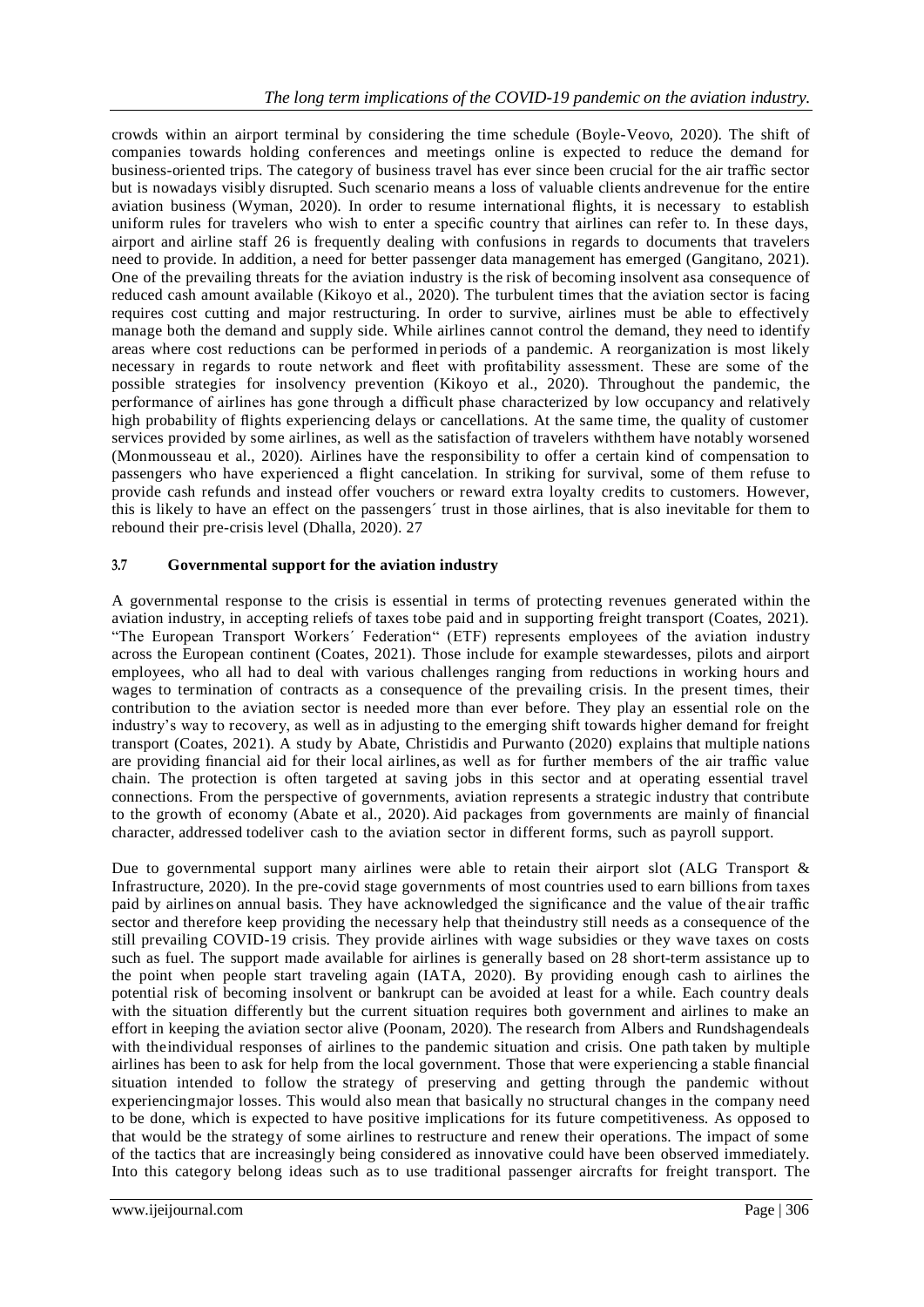crowds within an airport terminal by considering the time schedule (Boyle-Veovo, 2020). The shift of companies towards holding conferences and meetings online is expected to reduce the demand for business-oriented trips. The category of business travel has ever since been crucial for the air traffic sector but is nowadays visibly disrupted. Such scenario means a loss of valuable clients andrevenue for the entire aviation business (Wyman, 2020). In order to resume international flights, it is necessary to establish uniform rules for travelers who wish to enter a specific country that airlines can refer to. In these days, airport and airline staff 26 is frequently dealing with confusions in regards to documents that travelers need to provide. In addition, a need for better passenger data management has emerged (Gangitano, 2021). One of the prevailing threats for the aviation industry is the risk of becoming insolvent asa consequence of reduced cash amount available (Kikoyo et al., 2020). The turbulent times that the aviation sector is facing requires cost cutting and major restructuring. In order to survive, airlines must be able to effectively manage both the demand and supply side. While airlines cannot control the demand, they need to identify areas where cost reductions can be performed in periods of a pandemic. A reorganization is most likely necessary in regards to route network and fleet with profitability assessment. These are some of the possible strategies for insolvency prevention (Kikoyo et al., 2020). Throughout the pandemic, the performance of airlines has gone through a difficult phase characterized by low occupancy and relatively high probability of flights experiencing delays or cancellations. At the same time, the quality of customer services provided by some airlines, as well as the satisfaction of travelers withthem have notably worsened (Monmousseau et al., 2020). Airlines have the responsibility to offer a certain kind of compensation to passengers who have experienced a flight cancelation. In striking for survival, some of them refuse to provide cash refunds and instead offer vouchers or reward extra loyalty credits to customers. However, this is likely to have an effect on the passengers´ trust in those airlines, that is also inevitable for them to rebound their pre-crisis level (Dhalla, 2020). 27

# **3.7 Governmental support for the aviation industry**

A governmental response to the crisis is essential in terms of protecting revenues generated within the aviation industry, in accepting reliefs of taxes tobe paid and in supporting freight transport (Coates, 2021). "The European Transport Workers´ Federation" (ETF) represents employees of the aviation industry across the European continent (Coates, 2021). Those include for example stewardesses, pilots and airport employees, who all had to deal with various challenges ranging from reductions in working hours and wages to termination of contracts as a consequence of the prevailing crisis. In the present times, their contribution to the aviation sector is needed more than ever before. They play an essential role on the industry's way to recovery, as well as in adjusting to the emerging shift towards higher demand for freight transport (Coates, 2021). A study by Abate, Christidis and Purwanto (2020) explains that multiple nations are providing financial aid for their local airlines, as well as for further members of the air traffic value chain. The protection is often targeted at saving jobs in this sector and at operating essential travel connections. From the perspective of governments, aviation represents a strategic industry that contribute to the growth of economy (Abate et al., 2020). Aid packages from governments are mainly of financial character, addressed todeliver cash to the aviation sector in different forms, such as payroll support.

Due to governmental support many airlines were able to retain their airport slot (ALG Transport & Infrastructure, 2020). In the pre-covid stage governments of most countries used to earn billions from taxes paid by airlines on annual basis. They have acknowledged the significance and the value of the air traffic sector and therefore keep providing the necessary help that theindustry still needs as a consequence of the still prevailing COVID-19 crisis. They provide airlines with wage subsidies or they wave taxes on costs such as fuel. The support made available for airlines is generally based on 28 short-term assistance up to the point when people start traveling again (IATA, 2020). By providing enough cash to airlines the potential risk of becoming insolvent or bankrupt can be avoided at least for a while. Each country deals with the situation differently but the current situation requires both government and airlines to make an effort in keeping the aviation sector alive (Poonam, 2020). The research from Albers and Rundshagendeals with theindividual responses of airlines to the pandemic situation and crisis. One path taken by multiple airlines has been to ask for help from the local government. Those that were experiencing a stable financial situation intended to follow the strategy of preserving and getting through the pandemic without experiencingmajor losses. This would also mean that basically no structural changes in the company need to be done, which is expected to have positive implications for its future competitiveness. As opposed to that would be the strategy of some airlines to restructure and renew their operations. The impact of some of the tactics that are increasingly being considered as innovative could have been observed immediately. Into this category belong ideas such as to use traditional passenger aircrafts for freight transport. The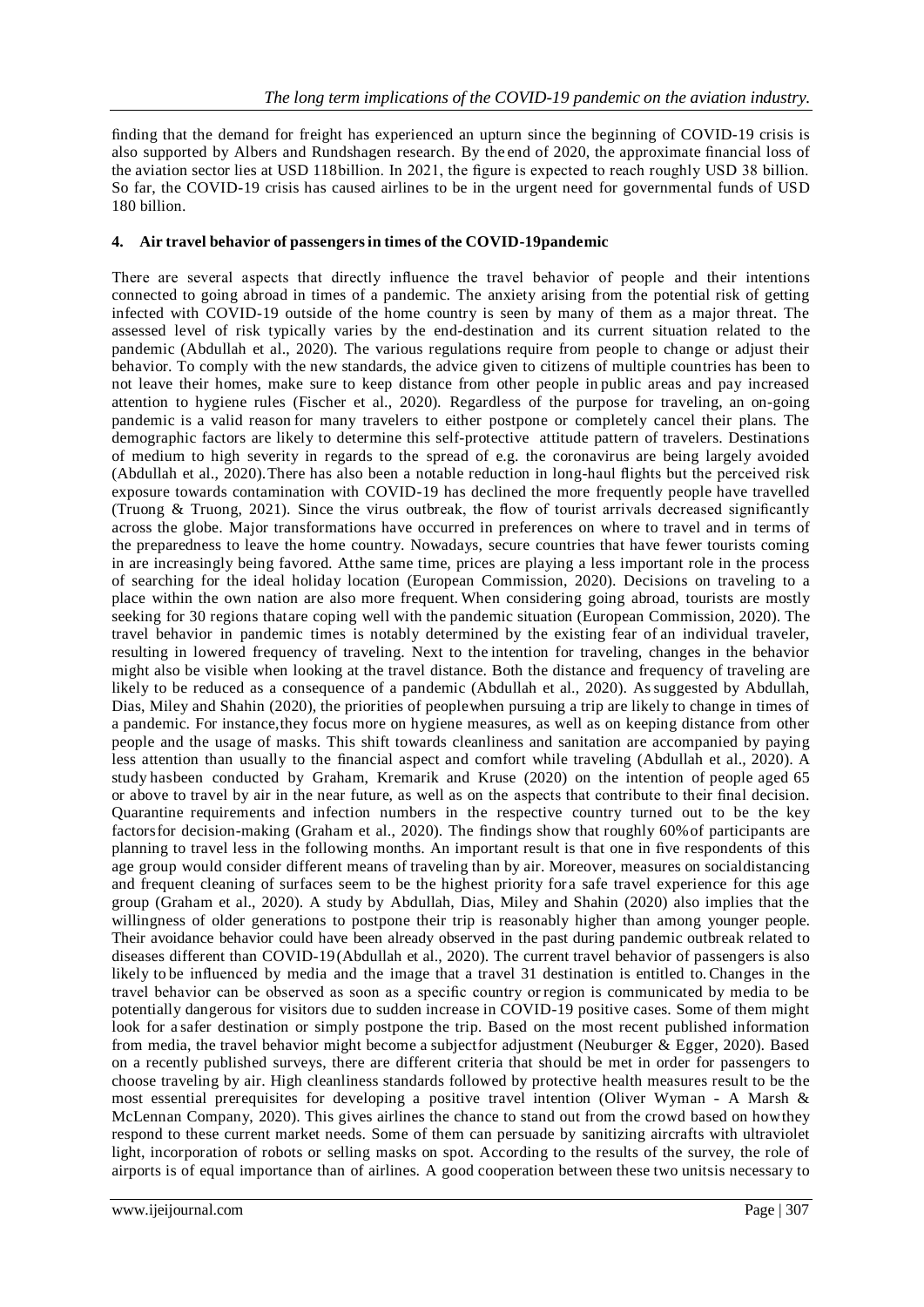finding that the demand for freight has experienced an upturn since the beginning of COVID-19 crisis is also supported by Albers and Rundshagen research. By the end of 2020, the approximate financial loss of the aviation sector lies at USD 118billion. In 2021, the figure is expected to reach roughly USD 38 billion. So far, the COVID-19 crisis has caused airlines to be in the urgent need for governmental funds of USD 180 billion.

#### **4. Air travel behavior of passengersin times of the COVID-19pandemic**

There are several aspects that directly influence the travel behavior of people and their intentions connected to going abroad in times of a pandemic. The anxiety arising from the potential risk of getting infected with COVID-19 outside of the home country is seen by many of them as a major threat. The assessed level of risk typically varies by the end-destination and its current situation related to the pandemic (Abdullah et al., 2020). The various regulations require from people to change or adjust their behavior. To comply with the new standards, the advice given to citizens of multiple countries has been to not leave their homes, make sure to keep distance from other people in public areas and pay increased attention to hygiene rules (Fischer et al., 2020). Regardless of the purpose for traveling, an on-going pandemic is a valid reason for many travelers to either postpone or completely cancel their plans. The demographic factors are likely to determine this self-protective attitude pattern of travelers. Destinations of medium to high severity in regards to the spread of e.g. the coronavirus are being largely avoided (Abdullah et al., 2020).There has also been a notable reduction in long-haul flights but the perceived risk exposure towards contamination with COVID-19 has declined the more frequently people have travelled (Truong & Truong, 2021). Since the virus outbreak, the flow of tourist arrivals decreased significantly across the globe. Major transformations have occurred in preferences on where to travel and in terms of the preparedness to leave the home country. Nowadays, secure countries that have fewer tourists coming in are increasingly being favored. Atthe same time, prices are playing a less important role in the process of searching for the ideal holiday location (European Commission, 2020). Decisions on traveling to a place within the own nation are also more frequent. When considering going abroad, tourists are mostly seeking for 30 regions thatare coping well with the pandemic situation (European Commission, 2020). The travel behavior in pandemic times is notably determined by the existing fear of an individual traveler, resulting in lowered frequency of traveling. Next to the intention for traveling, changes in the behavior might also be visible when looking at the travel distance. Both the distance and frequency of traveling are likely to be reduced as a consequence of a pandemic (Abdullah et al., 2020). Assuggested by Abdullah, Dias, Miley and Shahin (2020), the priorities of peoplewhen pursuing a trip are likely to change in times of a pandemic. For instance,they focus more on hygiene measures, as well as on keeping distance from other people and the usage of masks. This shift towards cleanliness and sanitation are accompanied by paying less attention than usually to the financial aspect and comfort while traveling (Abdullah et al., 2020). A study hasbeen conducted by Graham, Kremarik and Kruse (2020) on the intention of people aged 65 or above to travel by air in the near future, as well as on the aspects that contribute to their final decision. Quarantine requirements and infection numbers in the respective country turned out to be the key factorsfor decision-making (Graham et al., 2020). The findings show that roughly 60%of participants are planning to travel less in the following months. An important result is that one in five respondents of this age group would consider different means of traveling than by air. Moreover, measures on socialdistancing and frequent cleaning of surfaces seem to be the highest priority for a safe travel experience for this age group (Graham et al., 2020). A study by Abdullah, Dias, Miley and Shahin (2020) also implies that the willingness of older generations to postpone their trip is reasonably higher than among younger people. Their avoidance behavior could have been already observed in the past during pandemic outbreak related to diseases different than COVID-19(Abdullah et al., 2020). The current travel behavior of passengers is also likely to be influenced by media and the image that a travel 31 destination is entitled to. Changes in the travel behavior can be observed as soon as a specific country or region is communicated by media to be potentially dangerous for visitors due to sudden increase in COVID-19 positive cases. Some of them might look for a safer destination or simply postpone the trip. Based on the most recent published information from media, the travel behavior might become a subjectfor adjustment (Neuburger & Egger, 2020). Based on a recently published surveys, there are different criteria that should be met in order for passengers to choose traveling by air. High cleanliness standards followed by protective health measures result to be the most essential prerequisites for developing a positive travel intention (Oliver Wyman - A Marsh & McLennan Company, 2020). This gives airlines the chance to stand out from the crowd based on howthey respond to these current market needs. Some of them can persuade by sanitizing aircrafts with ultraviolet light, incorporation of robots or selling masks on spot. According to the results of the survey, the role of airports is of equal importance than of airlines. A good cooperation between these two unitsis necessary to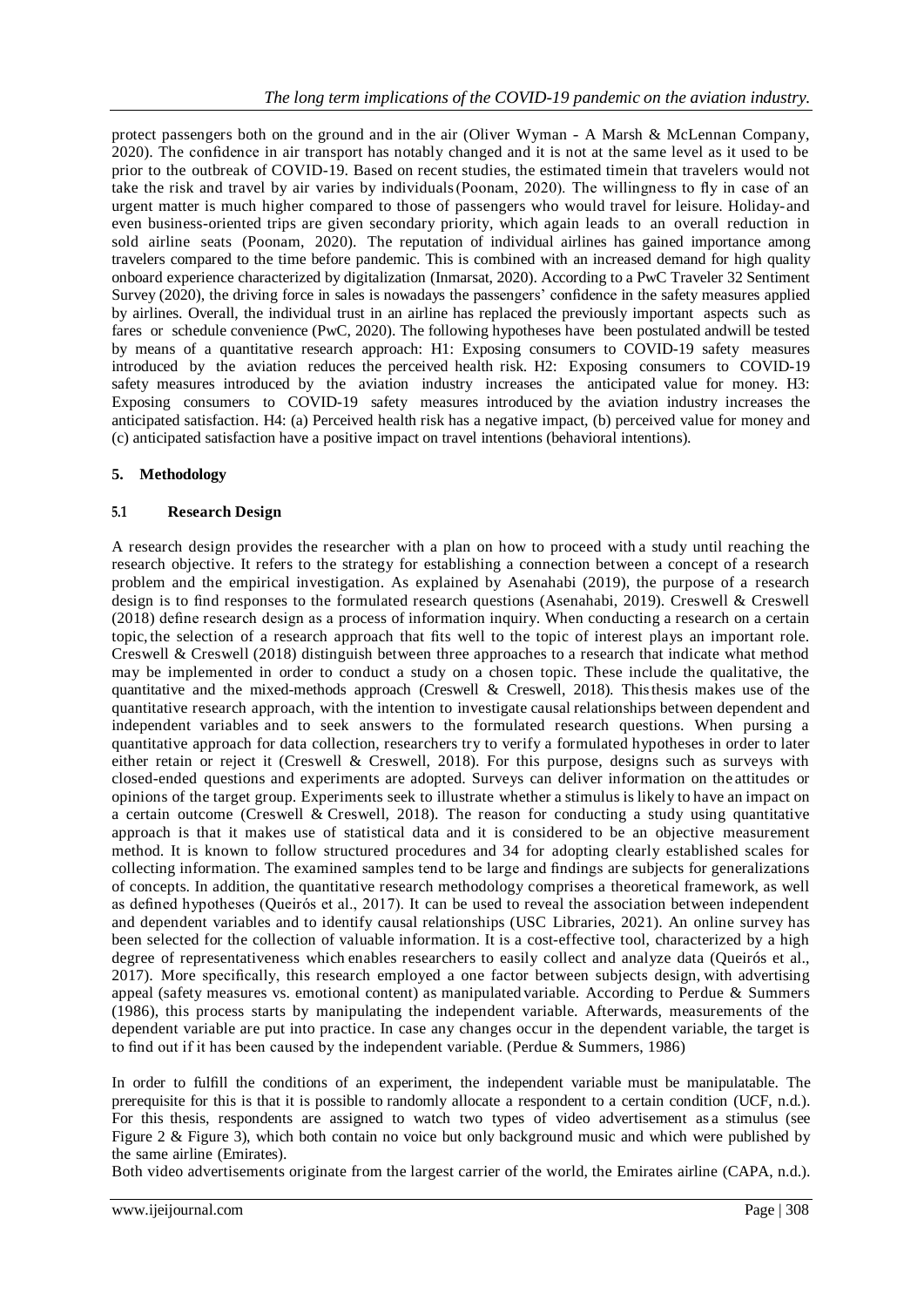protect passengers both on the ground and in the air (Oliver Wyman - A Marsh & McLennan Company, 2020). The confidence in air transport has notably changed and it is not at the same level as it used to be prior to the outbreak of COVID-19. Based on recent studies, the estimated timein that travelers would not take the risk and travel by air varies by individuals(Poonam, 2020). The willingness to fly in case of an urgent matter is much higher compared to those of passengers who would travel for leisure. Holiday-and even business-oriented trips are given secondary priority, which again leads to an overall reduction in sold airline seats (Poonam, 2020). The reputation of individual airlines has gained importance among travelers compared to the time before pandemic. This is combined with an increased demand for high quality onboard experience characterized by digitalization (Inmarsat, 2020). According to a PwC Traveler 32 Sentiment Survey (2020), the driving force in sales is nowadays the passengers' confidence in the safety measures applied by airlines. Overall, the individual trust in an airline has replaced the previously important aspects such as fares or schedule convenience (PwC, 2020). The following hypotheses have been postulated andwill be tested by means of a quantitative research approach: H1: Exposing consumers to COVID-19 safety measures introduced by the aviation reduces the perceived health risk. H2: Exposing consumers to COVID-19 safety measures introduced by the aviation industry increases the anticipated value for money. H3: Exposing consumers to COVID-19 safety measures introduced by the aviation industry increases the anticipated satisfaction. H4: (a) Perceived health risk has a negative impact, (b) perceived value for money and (c) anticipated satisfaction have a positive impact on travel intentions (behavioral intentions).

# **5. Methodology**

# **5.1 Research Design**

A research design provides the researcher with a plan on how to proceed with a study until reaching the research objective. It refers to the strategy for establishing a connection between a concept of a research problem and the empirical investigation. As explained by Asenahabi (2019), the purpose of a research design is to find responses to the formulated research questions (Asenahabi, 2019). Creswell & Creswell (2018) define research design as a process of information inquiry. When conducting a research on a certain topic, the selection of a research approach that fits well to the topic of interest plays an important role. Creswell & Creswell (2018) distinguish between three approaches to a research that indicate what method may be implemented in order to conduct a study on a chosen topic. These include the qualitative, the quantitative and the mixed-methods approach (Creswell & Creswell, 2018). Thisthesis makes use of the quantitative research approach, with the intention to investigate causal relationships between dependent and independent variables and to seek answers to the formulated research questions. When pursing a quantitative approach for data collection, researchers try to verify a formulated hypotheses in order to later either retain or reject it (Creswell & Creswell, 2018). For this purpose, designs such as surveys with closed-ended questions and experiments are adopted. Surveys can deliver information on the attitudes or opinions of the target group. Experiments seek to illustrate whether a stimulus is likely to have an impact on a certain outcome (Creswell & Creswell, 2018). The reason for conducting a study using quantitative approach is that it makes use of statistical data and it is considered to be an objective measurement method. It is known to follow structured procedures and 34 for adopting clearly established scales for collecting information. The examined samples tend to be large and findings are subjects for generalizations of concepts. In addition, the quantitative research methodology comprises a theoretical framework, as well as defined hypotheses (Queirós et al., 2017). It can be used to reveal the association between independent and dependent variables and to identify causal relationships (USC Libraries, 2021). An online survey has been selected for the collection of valuable information. It is a cost-effective tool, characterized by a high degree of representativeness which enables researchers to easily collect and analyze data (Queirós et al., 2017). More specifically, this research employed a one factor between subjects design, with advertising appeal (safety measures vs. emotional content) as manipulated variable. According to Perdue & Summers (1986), this process starts by manipulating the independent variable. Afterwards, measurements of the dependent variable are put into practice. In case any changes occur in the dependent variable, the target is to find out if it has been caused by the independent variable. (Perdue & Summers, 1986)

In order to fulfill the conditions of an experiment, the independent variable must be manipulatable. The prerequisite for this is that it is possible to randomly allocate a respondent to a certain condition (UCF, n.d.). For this thesis, respondents are assigned to watch two types of video advertisement as a stimulus (see Figure 2 & Figure 3), which both contain no voice but only background music and which were published by the same airline (Emirates).

Both video advertisements originate from the largest carrier of the world, the Emirates airline (CAPA, n.d.).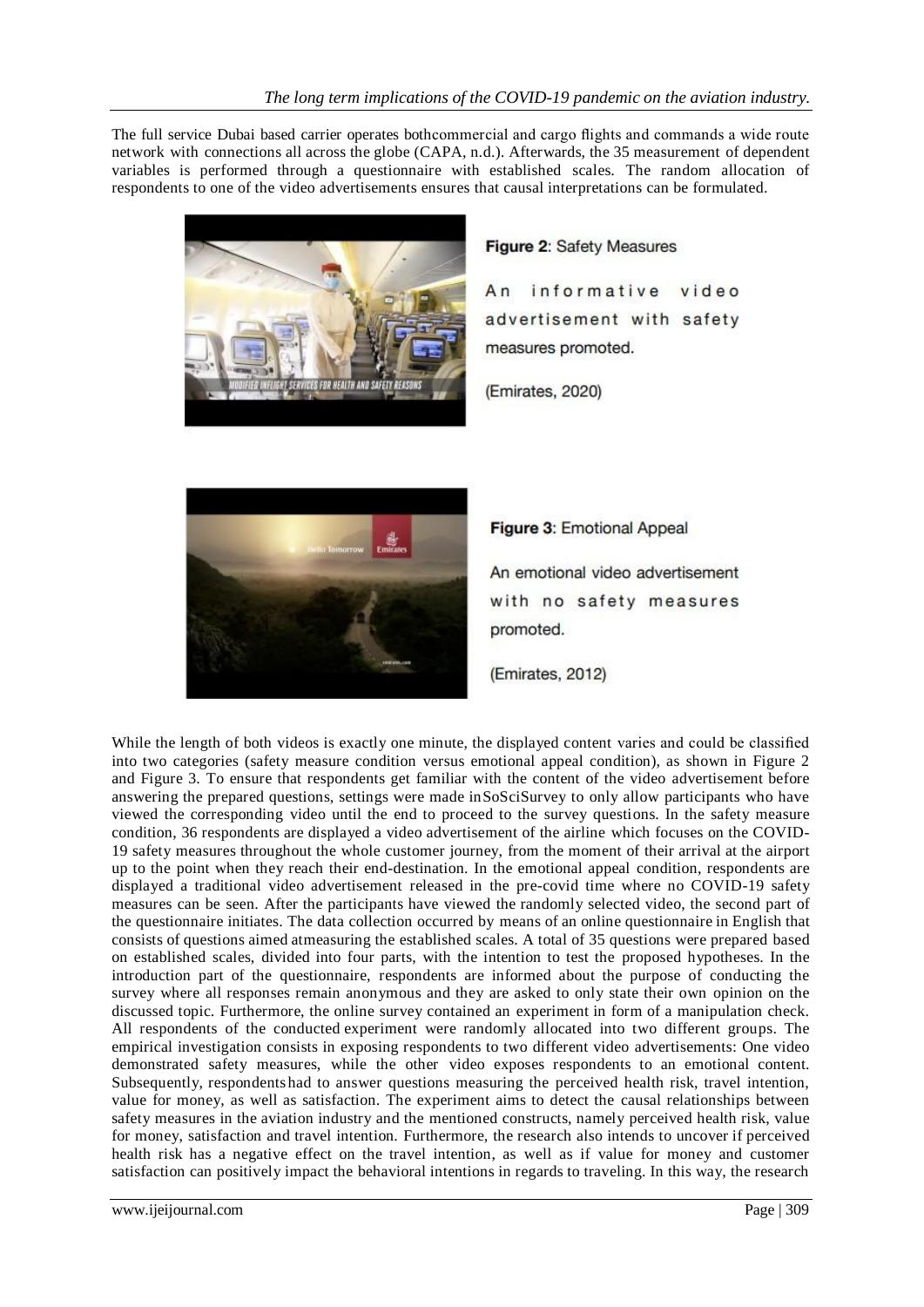The full service Dubai based carrier operates bothcommercial and cargo flights and commands a wide route network with connections all across the globe (CAPA, n.d.). Afterwards, the 35 measurement of dependent variables is performed through a questionnaire with established scales. The random allocation of respondents to one of the video advertisements ensures that causal interpretations can be formulated.



#### Figure 2: Safety Measures

 $An$ informative video advertisement with safety measures promoted.

(Emirates, 2020)



Figure 3: Emotional Appeal An emotional video advertisement with no safety measures promoted.

(Emirates, 2012)

While the length of both videos is exactly one minute, the displayed content varies and could be classified into two categories (safety measure condition versus emotional appeal condition), as shown in Figure 2 and Figure 3. To ensure that respondents get familiar with the content of the video advertisement before answering the prepared questions, settings were made inSoSciSurvey to only allow participants who have viewed the corresponding video until the end to proceed to the survey questions. In the safety measure condition, 36 respondents are displayed a video advertisement of the airline which focuses on the COVID-19 safety measures throughout the whole customer journey, from the moment of their arrival at the airport up to the point when they reach their end-destination. In the emotional appeal condition, respondents are displayed a traditional video advertisement released in the pre-covid time where no COVID-19 safety measures can be seen. After the participants have viewed the randomly selected video, the second part of the questionnaire initiates. The data collection occurred by means of an online questionnaire in English that consists of questions aimed atmeasuring the established scales. A total of 35 questions were prepared based on established scales, divided into four parts, with the intention to test the proposed hypotheses. In the introduction part of the questionnaire, respondents are informed about the purpose of conducting the survey where all responses remain anonymous and they are asked to only state their own opinion on the discussed topic. Furthermore, the online survey contained an experiment in form of a manipulation check. All respondents of the conducted experiment were randomly allocated into two different groups. The empirical investigation consists in exposing respondents to two different video advertisements: One video demonstrated safety measures, while the other video exposes respondents to an emotional content. Subsequently, respondentshad to answer questions measuring the perceived health risk, travel intention, value for money, as well as satisfaction. The experiment aims to detect the causal relationships between safety measures in the aviation industry and the mentioned constructs, namely perceived health risk, value for money, satisfaction and travel intention. Furthermore, the research also intends to uncover if perceived health risk has a negative effect on the travel intention, as well as if value for money and customer satisfaction can positively impact the behavioral intentions in regards to traveling. In this way, the research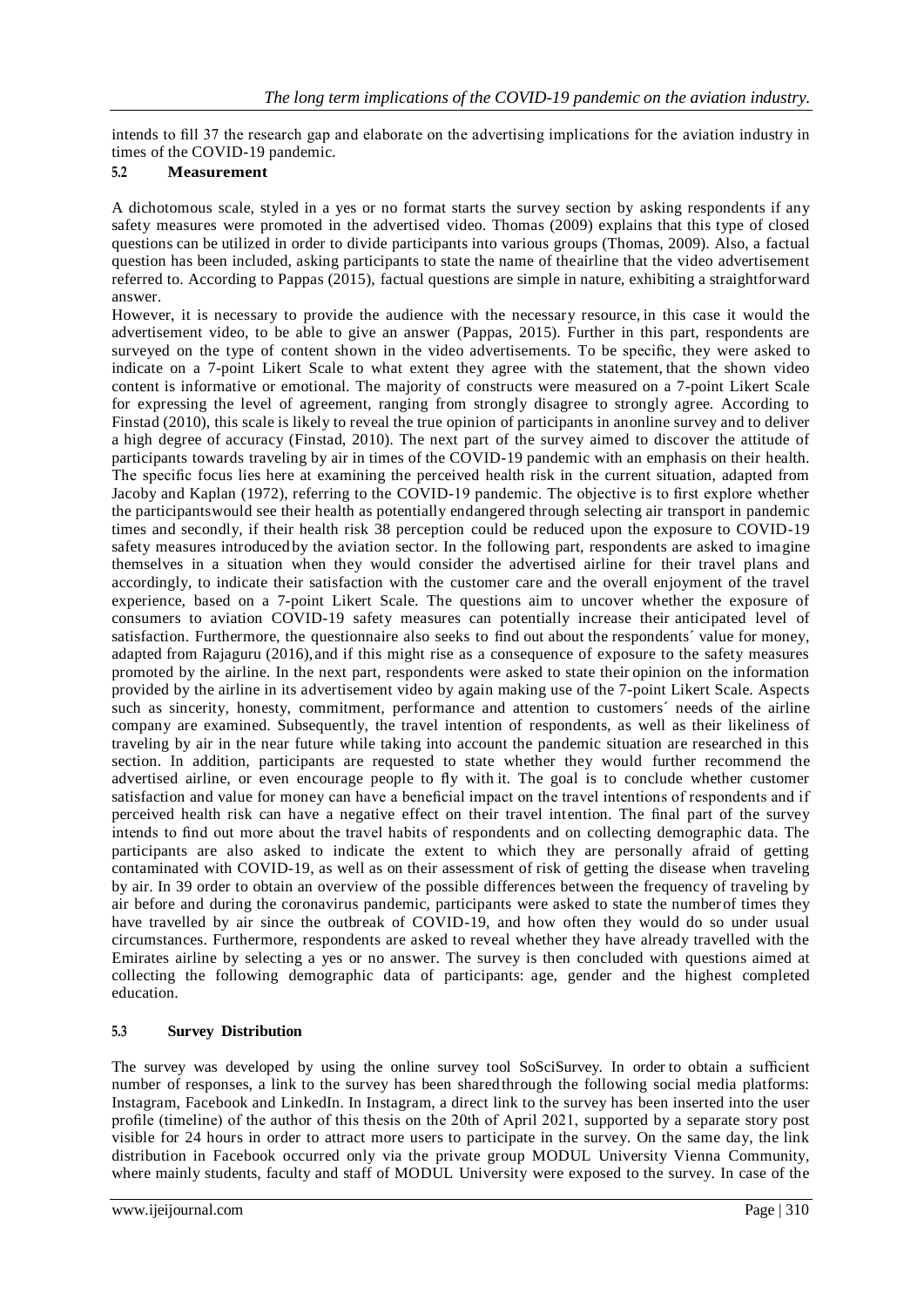intends to fill 37 the research gap and elaborate on the advertising implications for the aviation industry in times of the COVID-19 pandemic.

## **5.2 Measurement**

A dichotomous scale, styled in a yes or no format starts the survey section by asking respondents if any safety measures were promoted in the advertised video. Thomas (2009) explains that this type of closed questions can be utilized in order to divide participants into various groups (Thomas, 2009). Also, a factual question has been included, asking participants to state the name of theairline that the video advertisement referred to. According to Pappas (2015), factual questions are simple in nature, exhibiting a straightforward answer.

However, it is necessary to provide the audience with the necessary resource, in this case it would the advertisement video, to be able to give an answer (Pappas, 2015). Further in this part, respondents are surveyed on the type of content shown in the video advertisements. To be specific, they were asked to indicate on a 7-point Likert Scale to what extent they agree with the statement, that the shown video content is informative or emotional. The majority of constructs were measured on a 7-point Likert Scale for expressing the level of agreement, ranging from strongly disagree to strongly agree. According to Finstad (2010), this scale is likely to reveal the true opinion of participants in anonline survey and to deliver a high degree of accuracy (Finstad, 2010). The next part of the survey aimed to discover the attitude of participants towards traveling by air in times of the COVID-19 pandemic with an emphasis on their health. The specific focus lies here at examining the perceived health risk in the current situation, adapted from Jacoby and Kaplan (1972), referring to the COVID-19 pandemic. The objective is to first explore whether the participantswould see their health as potentially endangered through selecting air transport in pandemic times and secondly, if their health risk 38 perception could be reduced upon the exposure to COVID-19 safety measures introduced by the aviation sector. In the following part, respondents are asked to imagine themselves in a situation when they would consider the advertised airline for their travel plans and accordingly, to indicate their satisfaction with the customer care and the overall enjoyment of the travel experience, based on a 7-point Likert Scale. The questions aim to uncover whether the exposure of consumers to aviation COVID-19 safety measures can potentially increase their anticipated level of satisfaction. Furthermore, the questionnaire also seeks to find out about the respondents´ value for money, adapted from Rajaguru (2016), and if this might rise as a consequence of exposure to the safety measures promoted by the airline. In the next part, respondents were asked to state their opinion on the information provided by the airline in its advertisement video by again making use of the 7-point Likert Scale. Aspects such as sincerity, honesty, commitment, performance and attention to customers´ needs of the airline company are examined. Subsequently, the travel intention of respondents, as well as their likeliness of traveling by air in the near future while taking into account the pandemic situation are researched in this section. In addition, participants are requested to state whether they would further recommend the advertised airline, or even encourage people to fly with it. The goal is to conclude whether customer satisfaction and value for money can have a beneficial impact on the travel intentions of respondents and if perceived health risk can have a negative effect on their travel intention. The final part of the survey intends to find out more about the travel habits of respondents and on collecting demographic data. The participants are also asked to indicate the extent to which they are personally afraid of getting contaminated with COVID-19, as well as on their assessment of risk of getting the disease when traveling by air. In 39 order to obtain an overview of the possible differences between the frequency of traveling by air before and during the coronavirus pandemic, participants were asked to state the numberof times they have travelled by air since the outbreak of COVID-19, and how often they would do so under usual circumstances. Furthermore, respondents are asked to reveal whether they have already travelled with the Emirates airline by selecting a yes or no answer. The survey is then concluded with questions aimed at collecting the following demographic data of participants: age, gender and the highest completed education.

## **5.3 Survey Distribution**

The survey was developed by using the online survey tool SoSciSurvey. In order to obtain a sufficient number of responses, a link to the survey has been sharedthrough the following social media platforms: Instagram, Facebook and LinkedIn. In Instagram, a direct link to the survey has been inserted into the user profile (timeline) of the author of this thesis on the 20th of April 2021, supported by a separate story post visible for 24 hours in order to attract more users to participate in the survey. On the same day, the link distribution in Facebook occurred only via the private group MODUL University Vienna Community, where mainly students, faculty and staff of MODUL University were exposed to the survey. In case of the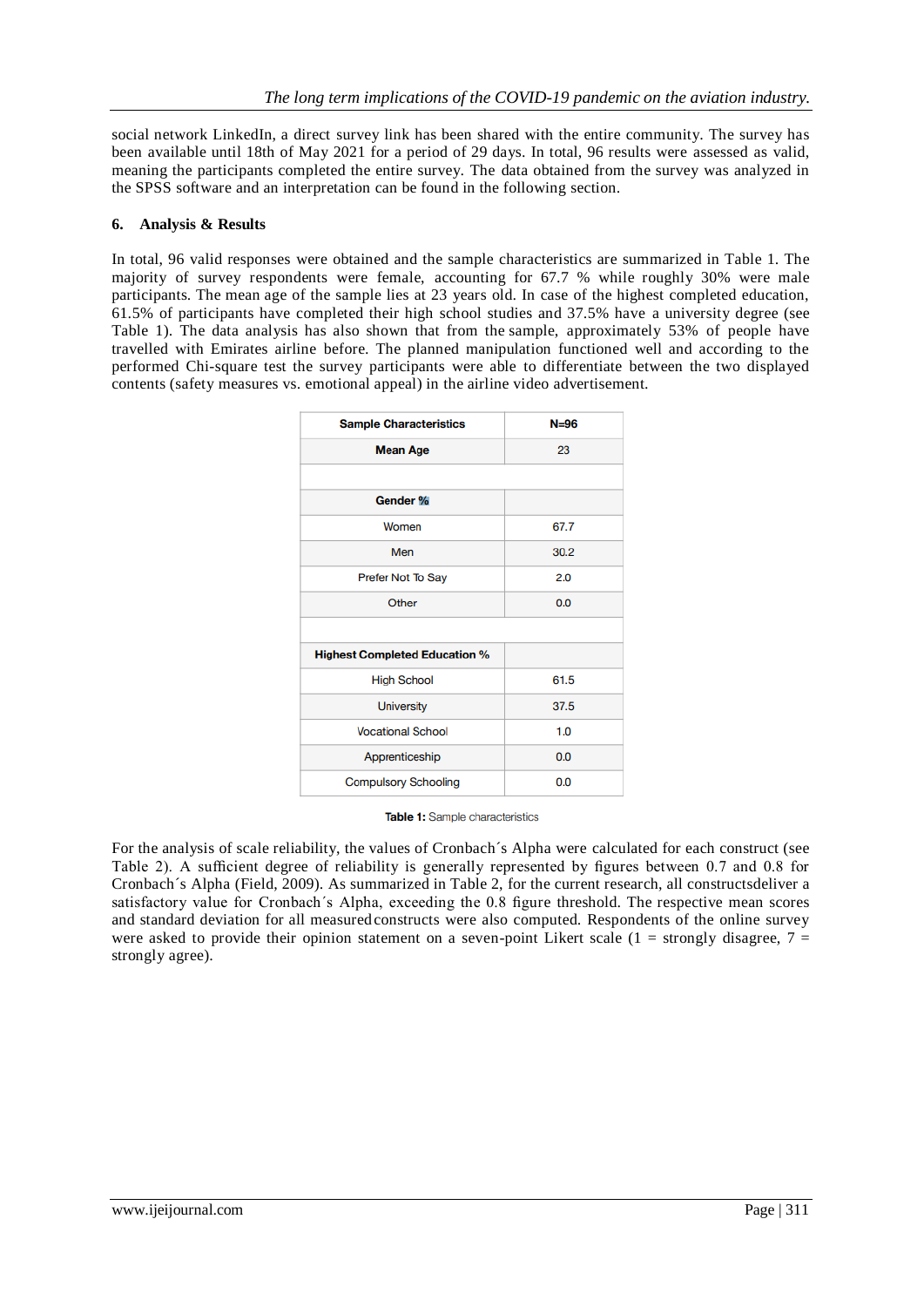social network LinkedIn, a direct survey link has been shared with the entire community. The survey has been available until 18th of May 2021 for a period of 29 days. In total, 96 results were assessed as valid, meaning the participants completed the entire survey. The data obtained from the survey was analyzed in the SPSS software and an interpretation can be found in the following section.

#### **6. Analysis & Results**

In total, 96 valid responses were obtained and the sample characteristics are summarized in Table 1. The majority of survey respondents were female, accounting for 67.7 % while roughly 30% were male participants. The mean age of the sample lies at 23 years old. In case of the highest completed education, 61.5% of participants have completed their high school studies and 37.5% have a university degree (see Table 1). The data analysis has also shown that from the sample, approximately 53% of people have travelled with Emirates airline before. The planned manipulation functioned well and according to the performed Chi-square test the survey participants were able to differentiate between the two displayed contents (safety measures vs. emotional appeal) in the airline video advertisement.

| <b>Sample Characteristics</b>        | $N = 96$ |
|--------------------------------------|----------|
| <b>Mean Age</b>                      | 23       |
|                                      |          |
| Gender %                             |          |
| Women                                | 67.7     |
| Men                                  | 30.2     |
| Prefer Not To Say                    | 2.0      |
| Other                                | 0.0      |
|                                      |          |
| <b>Highest Completed Education %</b> |          |
| <b>High School</b>                   | 61.5     |
| <b>University</b>                    | 37.5     |
| <b>Vocational School</b>             | 1.0      |
| Apprenticeship                       | 0.0      |
| <b>Compulsory Schooling</b>          | 0.0      |

Table 1: Sample characteristics

For the analysis of scale reliability, the values of Cronbach´s Alpha were calculated for each construct (see Table 2). A sufficient degree of reliability is generally represented by figures between 0.7 and 0.8 for Cronbach´s Alpha (Field, 2009). As summarized in Table 2, for the current research, all constructsdeliver a satisfactory value for Cronbach´s Alpha, exceeding the 0.8 figure threshold. The respective mean scores and standard deviation for all measured constructs were also computed. Respondents of the online survey were asked to provide their opinion statement on a seven-point Likert scale (1 = strongly disagree,  $7 =$ strongly agree).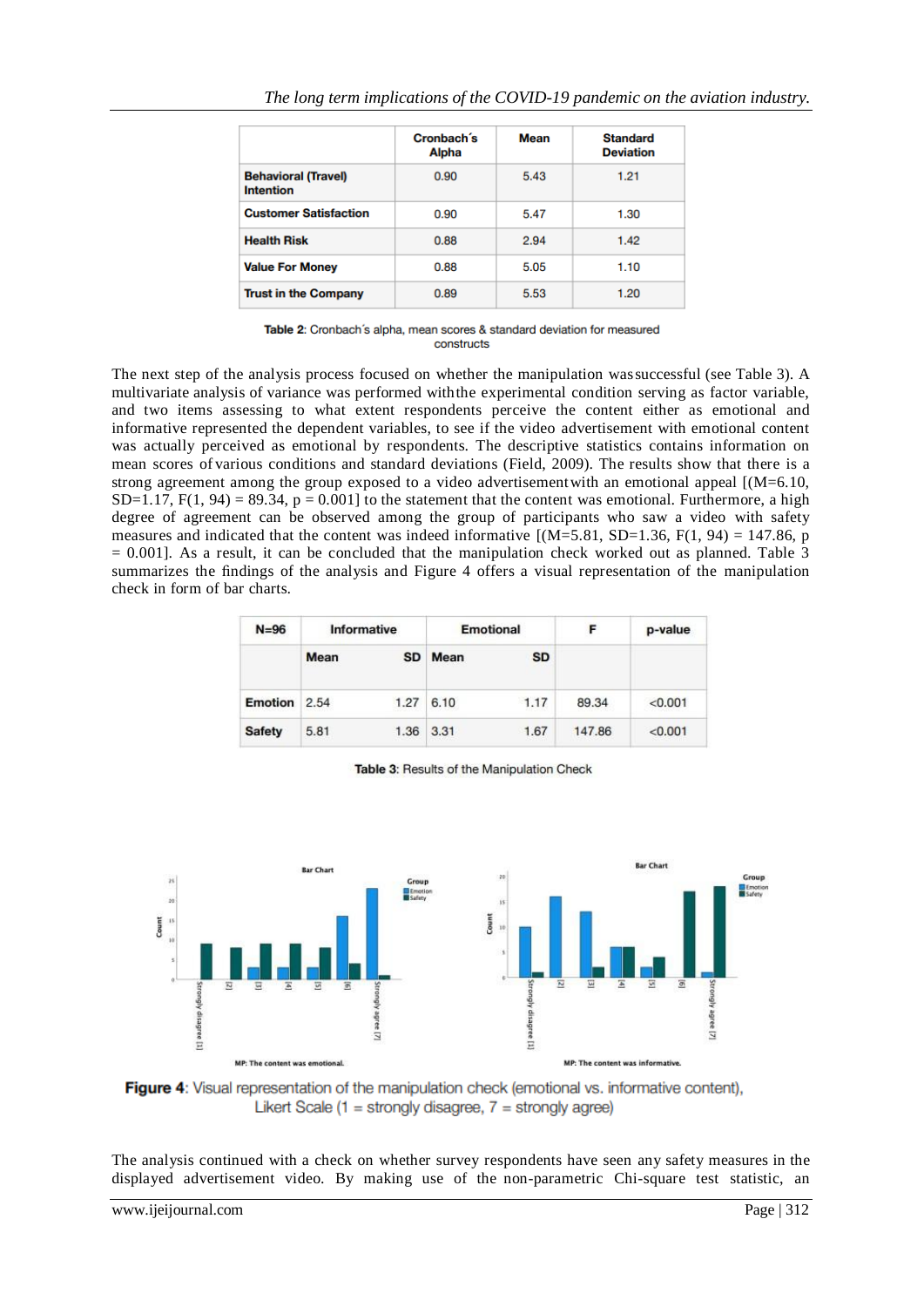|                                                | Cronbach's<br>Alpha | Mean | <b>Standard</b><br><b>Deviation</b> |  |  |  |
|------------------------------------------------|---------------------|------|-------------------------------------|--|--|--|
| <b>Behavioral (Travel)</b><br><b>Intention</b> | 0.90                | 5.43 | 1.21                                |  |  |  |
| <b>Customer Satisfaction</b>                   | 0.90                | 5.47 | 1.30                                |  |  |  |
| <b>Health Risk</b>                             | 0.88                | 2.94 | 1.42                                |  |  |  |
| <b>Value For Money</b>                         | 0.88                | 5.05 | 1.10                                |  |  |  |
| <b>Trust in the Company</b>                    | 0.89                | 5.53 | 1.20                                |  |  |  |

Table 2: Cronbach's alpha, mean scores & standard deviation for measured constructs

The next step of the analysis process focused on whether the manipulation wassuccessful (see Table 3). A multivariate analysis of variance was performed withthe experimental condition serving as factor variable, and two items assessing to what extent respondents perceive the content either as emotional and informative represented the dependent variables, to see if the video advertisement with emotional content was actually perceived as emotional by respondents. The descriptive statistics contains information on mean scores of various conditions and standard deviations (Field, 2009). The results show that there is a strong agreement among the group exposed to a video advertisement with an emotional appeal [(M=6.10, SD=1.17,  $F(1, 94) = 89.34$ ,  $p = 0.001$ ] to the statement that the content was emotional. Furthermore, a high degree of agreement can be observed among the group of participants who saw a video with safety measures and indicated that the content was indeed informative  $[(M=5.81, SD=1.36, F(1, 94) = 147.86, p]$  $= 0.001$ . As a result, it can be concluded that the manipulation check worked out as planned. Table 3 summarizes the findings of the analysis and Figure 4 offers a visual representation of the manipulation check in form of bar charts.

| $N = 96$      | Informative |           | <b>Emotional</b> |           | F      | p-value |
|---------------|-------------|-----------|------------------|-----------|--------|---------|
|               | Mean        | <b>SD</b> | Mean             | <b>SD</b> |        |         |
| Emotion       | 2.54        | 1.27      | 6.10             | 1.17      | 89.34  | < 0.001 |
| <b>Safety</b> | 5.81        | 1.36      | 3.31             | 1.67      | 147.86 | < 0.001 |

Table 3: Results of the Manipulation Check



Figure 4: Visual representation of the manipulation check (emotional vs. informative content), Likert Scale (1 = strongly disagree,  $7$  = strongly agree)

The analysis continued with a check on whether survey respondents have seen any safety measures in the displayed advertisement video. By making use of the non-parametric Chi-square test statistic, an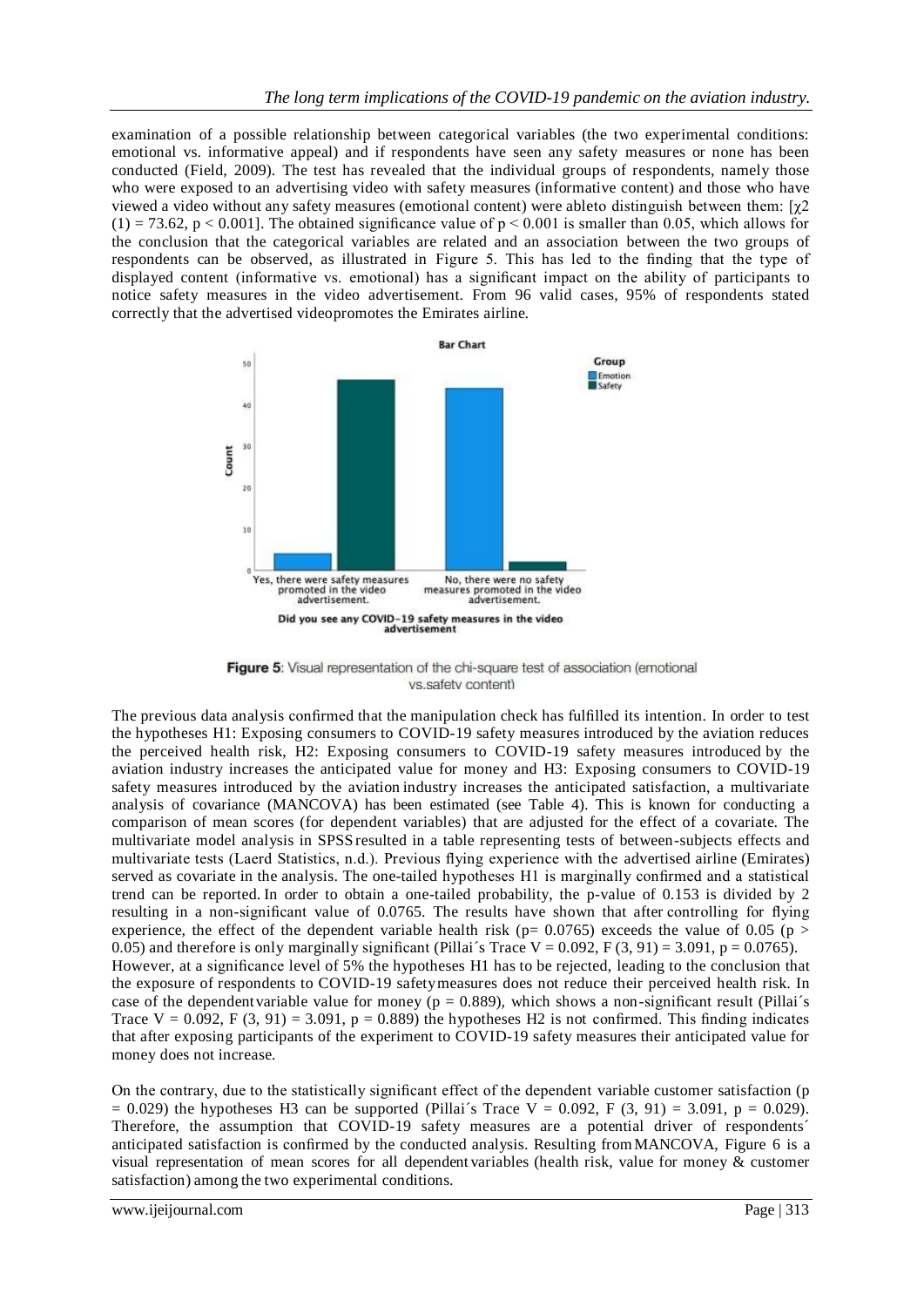examination of a possible relationship between categorical variables (the two experimental conditions: emotional vs. informative appeal) and if respondents have seen any safety measures or none has been conducted (Field, 2009). The test has revealed that the individual groups of respondents, namely those who were exposed to an advertising video with safety measures (informative content) and those who have viewed a video without any safety measures (emotional content) were ableto distinguish between them:  $[\gamma 2]$  $(1) = 73.62$ , p < 0.001]. The obtained significance value of p < 0.001 is smaller than 0.05, which allows for the conclusion that the categorical variables are related and an association between the two groups of respondents can be observed, as illustrated in Figure 5. This has led to the finding that the type of displayed content (informative vs. emotional) has a significant impact on the ability of participants to notice safety measures in the video advertisement. From 96 valid cases, 95% of respondents stated correctly that the advertised videopromotes the Emirates airline.



Figure 5: Visual representation of the chi-square test of association (emotional vs.safety content)

The previous data analysis confirmed that the manipulation check has fulfilled its intention. In order to test the hypotheses H1: Exposing consumers to COVID-19 safety measures introduced by the aviation reduces the perceived health risk, H2: Exposing consumers to COVID-19 safety measures introduced by the aviation industry increases the anticipated value for money and H3: Exposing consumers to COVID-19 safety measures introduced by the aviation industry increases the anticipated satisfaction, a multivariate analysis of covariance (MANCOVA) has been estimated (see Table 4). This is known for conducting a comparison of mean scores (for dependent variables) that are adjusted for the effect of a covariate. The multivariate model analysis in SPSS resulted in a table representing tests of between-subjects effects and multivariate tests (Laerd Statistics, n.d.). Previous flying experience with the advertised airline (Emirates) served as covariate in the analysis. The one-tailed hypotheses H1 is marginally confirmed and a statistical trend can be reported. In order to obtain a one-tailed probability, the p-value of 0.153 is divided by 2 resulting in a non-significant value of 0.0765. The results have shown that after controlling for flying experience, the effect of the dependent variable health risk ( $p= 0.0765$ ) exceeds the value of 0.05 ( $p >$ 0.05) and therefore is only marginally significant (Pillai's Trace V = 0.092, F (3, 91) = 3.091, p = 0.0765). However, at a significance level of 5% the hypotheses H1 has to be rejected, leading to the conclusion that the exposure of respondents to COVID-19 safetymeasures does not reduce their perceived health risk. In case of the dependent variable value for money ( $p = 0.889$ ), which shows a non-significant result (Pillai's Trace  $V = 0.092$ , F (3, 91) = 3.091, p = 0.889) the hypotheses H2 is not confirmed. This finding indicates that after exposing participants of the experiment to COVID-19 safety measures their anticipated value for money does not increase.

On the contrary, due to the statistically significant effect of the dependent variable customer satisfaction (p  $= 0.029$ ) the hypotheses H3 can be supported (Pillai's Trace V = 0.092, F (3, 91) = 3.091, p = 0.029). Therefore, the assumption that COVID-19 safety measures are a potential driver of respondents´ anticipated satisfaction is confirmed by the conducted analysis. Resulting from MANCOVA, Figure 6 is a visual representation of mean scores for all dependent variables (health risk, value for money & customer satisfaction) among the two experimental conditions.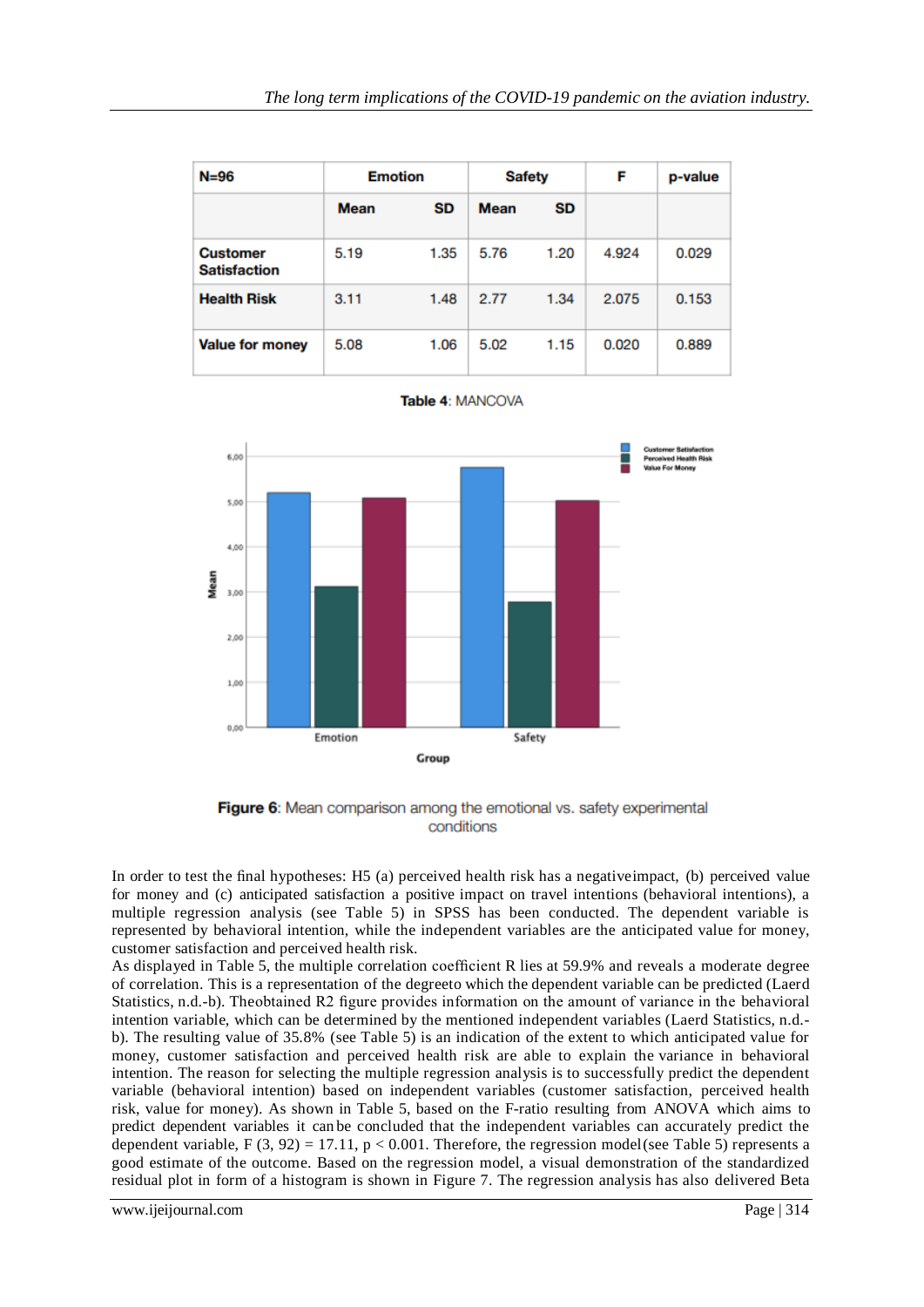| $N = 96$                               | <b>Emotion</b> |      | <b>Safety</b> |      | F     | p-value |
|----------------------------------------|----------------|------|---------------|------|-------|---------|
|                                        | <b>Mean</b>    | SD   | <b>Mean</b>   | SD   |       |         |
| <b>Customer</b><br><b>Satisfaction</b> | 5.19           | 1.35 | 5.76          | 1.20 | 4.924 | 0.029   |
| <b>Health Risk</b>                     | 3.11           | 1.48 | 2.77          | 1.34 | 2.075 | 0.153   |
| <b>Value for money</b>                 | 5.08           | 1.06 | 5.02          | 1.15 | 0.020 | 0.889   |

|  |  | <b>Fable 4: MANCOVA</b> |  |
|--|--|-------------------------|--|
|  |  |                         |  |



Figure 6: Mean comparison among the emotional vs. safety experimental conditions

In order to test the final hypotheses: H5 (a) perceived health risk has a negativeimpact, (b) perceived value for money and (c) anticipated satisfaction a positive impact on travel intentions (behavioral intentions), a multiple regression analysis (see Table 5) in SPSS has been conducted. The dependent variable is represented by behavioral intention, while the independent variables are the anticipated value for money, customer satisfaction and perceived health risk.

As displayed in Table 5, the multiple correlation coefficient R lies at 59.9% and reveals a moderate degree of correlation. This is a representation of the degreeto which the dependent variable can be predicted (Laerd Statistics, n.d.-b). Theobtained R2 figure provides information on the amount of variance in the behavioral intention variable, which can be determined by the mentioned independent variables (Laerd Statistics, n.d. b). The resulting value of 35.8% (see Table 5) is an indication of the extent to which anticipated value for money, customer satisfaction and perceived health risk are able to explain the variance in behavioral intention. The reason for selecting the multiple regression analysis is to successfully predict the dependent variable (behavioral intention) based on independent variables (customer satisfaction, perceived health risk, value for money). As shown in Table 5, based on the F-ratio resulting from ANOVA which aims to predict dependent variables it can be concluded that the independent variables can accurately predict the dependent variable, F  $(3, 92) = 17.11$ , p < 0.001. Therefore, the regression model(see Table 5) represents a good estimate of the outcome. Based on the regression model, a visual demonstration of the standardized residual plot in form of a histogram is shown in Figure 7. The regression analysis has also delivered Beta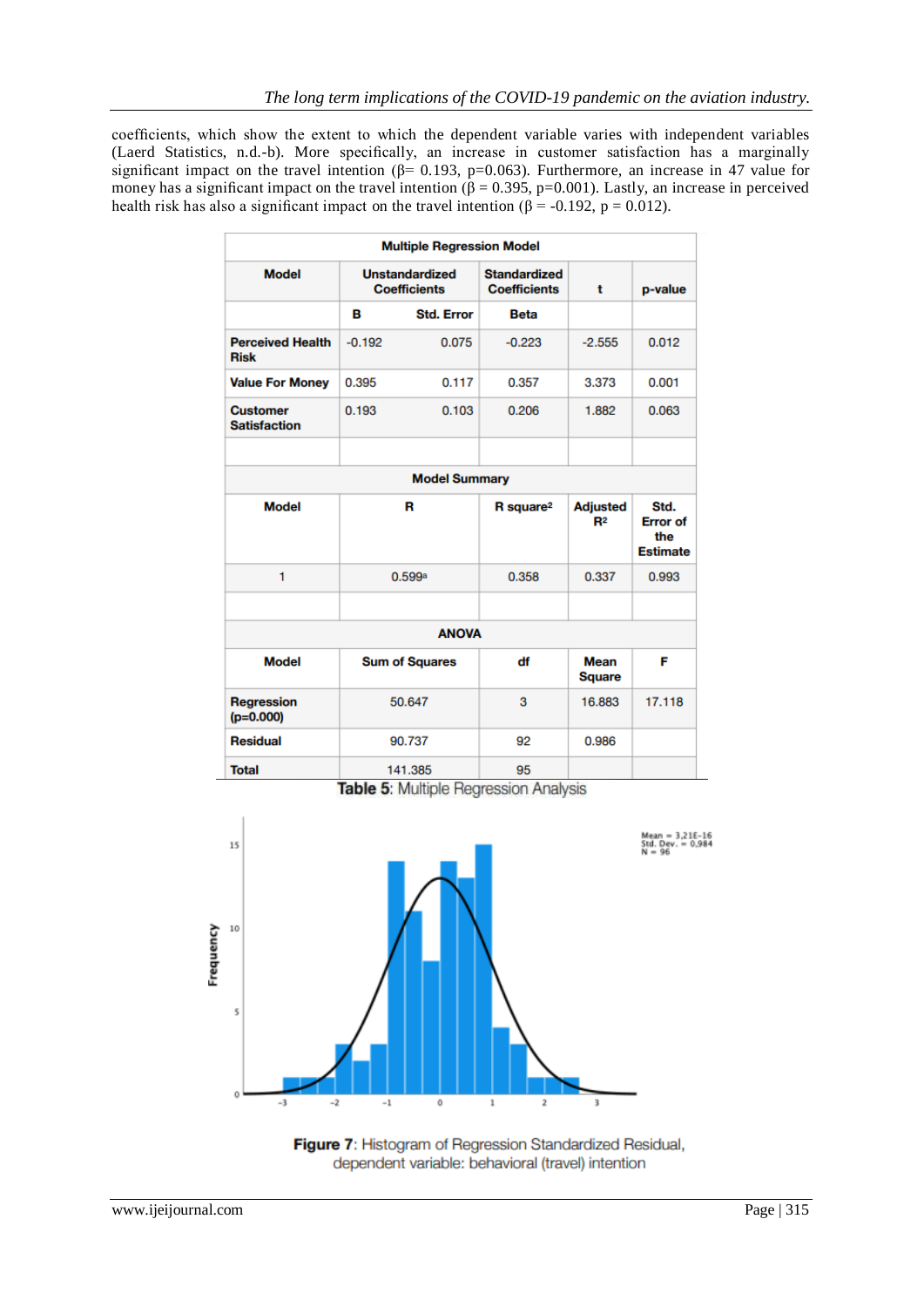coefficients, which show the extent to which the dependent variable varies with independent variables (Laerd Statistics, n.d.-b). More specifically, an increase in customer satisfaction has a marginally significant impact on the travel intention ( $\beta$ = 0.193, p=0.063). Furthermore, an increase in 47 value for money has a significant impact on the travel intention ( $\beta$  = 0.395, p=0.001). Lastly, an increase in perceived health risk has also a significant impact on the travel intention ( $\beta$  = -0.192, p = 0.012).

| <b>Multiple Regression Model</b>       |                                              |        |                                            |                                   |                                                   |  |  |
|----------------------------------------|----------------------------------------------|--------|--------------------------------------------|-----------------------------------|---------------------------------------------------|--|--|
| <b>Model</b>                           | <b>Unstandardized</b><br><b>Coefficients</b> |        | <b>Standardized</b><br><b>Coefficients</b> | t                                 | p-value                                           |  |  |
|                                        | в<br><b>Std. Error</b>                       |        | <b>Beta</b>                                |                                   |                                                   |  |  |
| <b>Perceived Health</b><br><b>Risk</b> | $-0.192$                                     | 0.075  | $-0.223$                                   | $-2.555$                          | 0.012                                             |  |  |
| <b>Value For Money</b>                 | 0.395                                        | 0.117  | 0.357                                      | 3.373                             | 0.001                                             |  |  |
| <b>Customer</b><br><b>Satisfaction</b> | 0.193                                        | 0.103  | 0.206                                      | 1.882                             | 0.063                                             |  |  |
|                                        |                                              |        |                                            |                                   |                                                   |  |  |
| <b>Model Summary</b>                   |                                              |        |                                            |                                   |                                                   |  |  |
| <b>Model</b>                           | R                                            |        | R square <sup>2</sup>                      | <b>Adjusted</b><br>R <sup>2</sup> | Std.<br><b>Error</b> of<br>the<br><b>Estimate</b> |  |  |
| 1                                      | 0.599a                                       |        | 0.358                                      | 0.337                             | 0.993                                             |  |  |
|                                        |                                              |        |                                            |                                   |                                                   |  |  |
| <b>ANOVA</b>                           |                                              |        |                                            |                                   |                                                   |  |  |
| <b>Model</b>                           | <b>Sum of Squares</b>                        |        | df                                         | <b>Mean</b><br><b>Square</b>      | F                                                 |  |  |
| <b>Regression</b><br>$(p=0.000)$       | 50.647                                       |        | 3                                          | 16.883                            | 17.118                                            |  |  |
| <b>Residual</b>                        |                                              | 90.737 | 92                                         | 0.986                             |                                                   |  |  |
| <b>Total</b>                           | 141.385                                      |        | 95                                         |                                   |                                                   |  |  |

Table 5: Multiple Regression Analysis



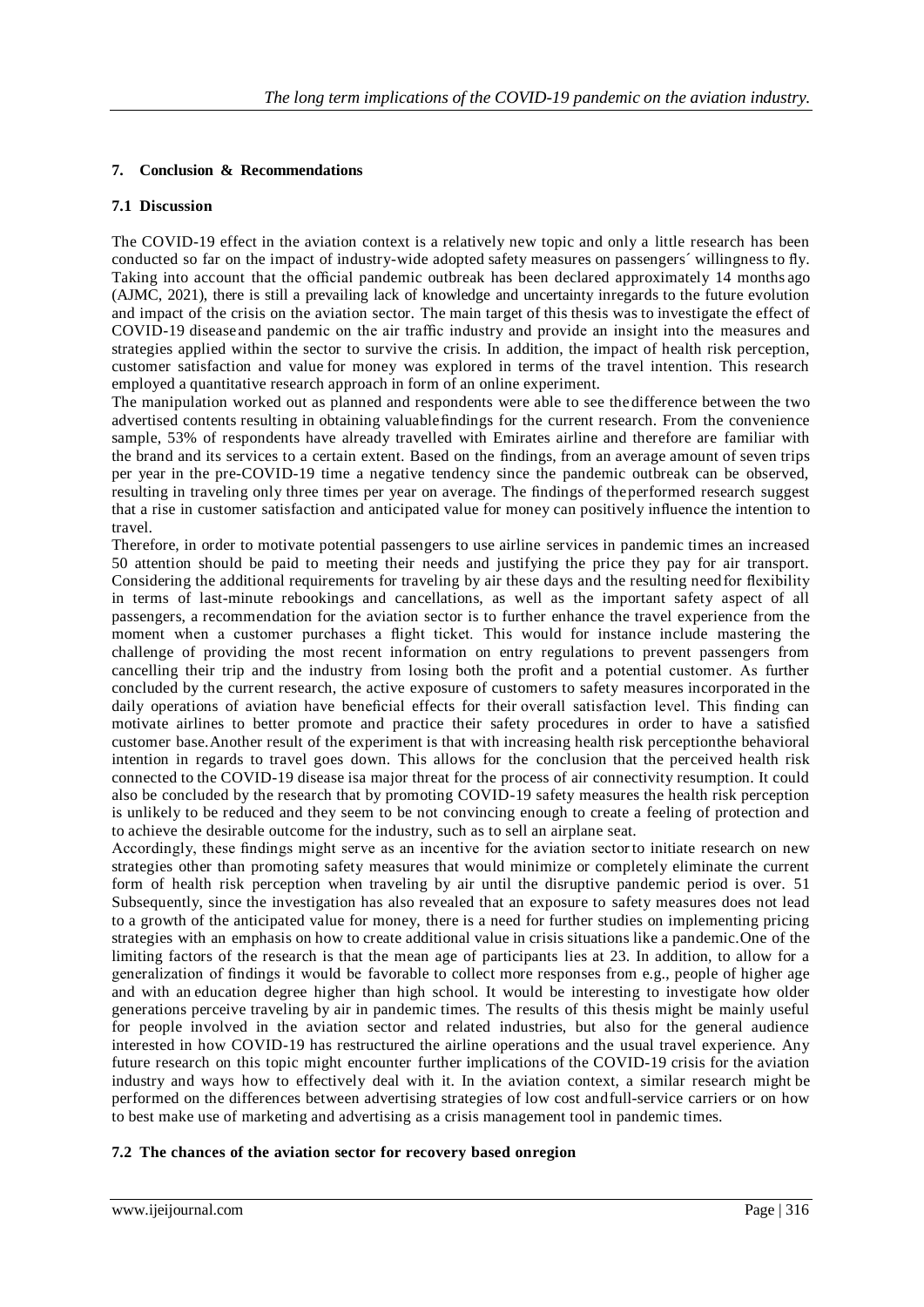## **7. Conclusion & Recommendations**

#### **7.1 Discussion**

The COVID-19 effect in the aviation context is a relatively new topic and only a little research has been conducted so far on the impact of industry-wide adopted safety measures on passengers´ willingness to fly. Taking into account that the official pandemic outbreak has been declared approximately 14 months ago (AJMC, 2021), there is still a prevailing lack of knowledge and uncertainty inregards to the future evolution and impact of the crisis on the aviation sector. The main target of this thesis was to investigate the effect of COVID-19 diseaseand pandemic on the air traffic industry and provide an insight into the measures and strategies applied within the sector to survive the crisis. In addition, the impact of health risk perception, customer satisfaction and value for money was explored in terms of the travel intention. This research employed a quantitative research approach in form of an online experiment.

The manipulation worked out as planned and respondents were able to see the difference between the two advertised contents resulting in obtaining valuablefindings for the current research. From the convenience sample, 53% of respondents have already travelled with Emirates airline and therefore are familiar with the brand and its services to a certain extent. Based on the findings, from an average amount of seven trips per year in the pre-COVID-19 time a negative tendency since the pandemic outbreak can be observed, resulting in traveling only three times per year on average. The findings of theperformed research suggest that a rise in customer satisfaction and anticipated value for money can positively influence the intention to travel.

Therefore, in order to motivate potential passengers to use airline services in pandemic times an increased 50 attention should be paid to meeting their needs and justifying the price they pay for air transport. Considering the additional requirements for traveling by air these days and the resulting needfor flexibility in terms of last-minute rebookings and cancellations, as well as the important safety aspect of all passengers, a recommendation for the aviation sector is to further enhance the travel experience from the moment when a customer purchases a flight ticket. This would for instance include mastering the challenge of providing the most recent information on entry regulations to prevent passengers from cancelling their trip and the industry from losing both the profit and a potential customer. As further concluded by the current research, the active exposure of customers to safety measures incorporated in the daily operations of aviation have beneficial effects for their overall satisfaction level. This finding can motivate airlines to better promote and practice their safety procedures in order to have a satisfied customer base.Another result of the experiment is that with increasing health risk perceptionthe behavioral intention in regards to travel goes down. This allows for the conclusion that the perceived health risk connected to the COVID-19 disease isa major threat for the process of air connectivity resumption. It could also be concluded by the research that by promoting COVID-19 safety measures the health risk perception is unlikely to be reduced and they seem to be not convincing enough to create a feeling of protection and to achieve the desirable outcome for the industry, such as to sell an airplane seat.

Accordingly, these findings might serve as an incentive for the aviation sectorto initiate research on new strategies other than promoting safety measures that would minimize or completely eliminate the current form of health risk perception when traveling by air until the disruptive pandemic period is over. 51 Subsequently, since the investigation has also revealed that an exposure to safety measures does not lead to a growth of the anticipated value for money, there is a need for further studies on implementing pricing strategies with an emphasis on how to create additional value in crisis situations like a pandemic.One of the limiting factors of the research is that the mean age of participants lies at 23. In addition, to allow for a generalization of findings it would be favorable to collect more responses from e.g., people of higher age and with an education degree higher than high school. It would be interesting to investigate how older generations perceive traveling by air in pandemic times. The results of this thesis might be mainly useful for people involved in the aviation sector and related industries, but also for the general audience interested in how COVID-19 has restructured the airline operations and the usual travel experience. Any future research on this topic might encounter further implications of the COVID-19 crisis for the aviation industry and ways how to effectively deal with it. In the aviation context, a similar research might be performed on the differences between advertising strategies of low cost andfull-service carriers or on how to best make use of marketing and advertising as a crisis management tool in pandemic times.

## **7.2 The chances of the aviation sector for recovery based onregion**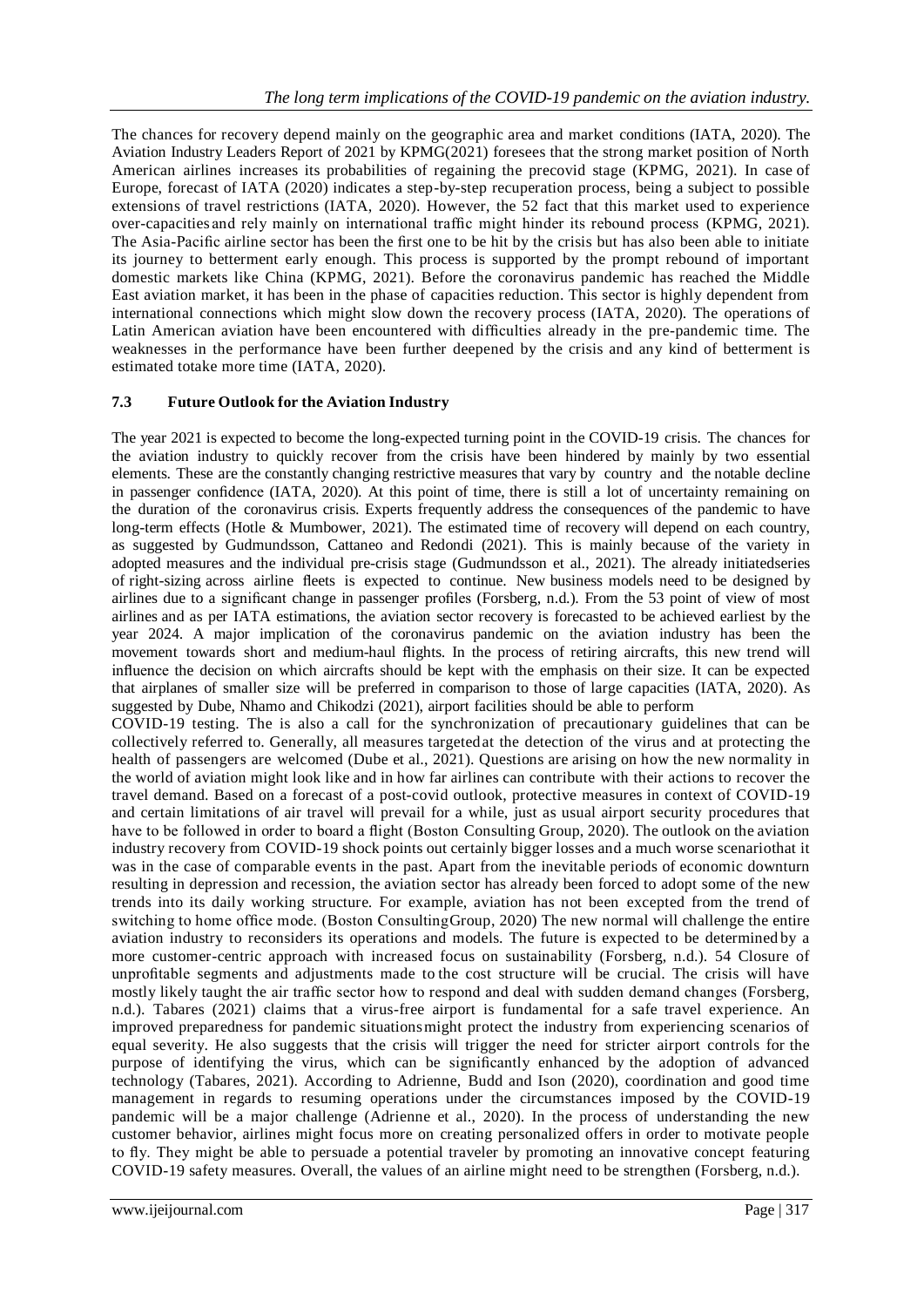The chances for recovery depend mainly on the geographic area and market conditions (IATA, 2020). The Aviation Industry Leaders Report of 2021 by KPMG(2021) foresees that the strong market position of North American airlines increases its probabilities of regaining the precovid stage (KPMG, 2021). In case of Europe, forecast of IATA (2020) indicates a step-by-step recuperation process, being a subject to possible extensions of travel restrictions (IATA, 2020). However, the 52 fact that this market used to experience over-capacities and rely mainly on international traffic might hinder its rebound process (KPMG, 2021). The Asia-Pacific airline sector has been the first one to be hit by the crisis but has also been able to initiate its journey to betterment early enough. This process is supported by the prompt rebound of important domestic markets like China (KPMG, 2021). Before the coronavirus pandemic has reached the Middle East aviation market, it has been in the phase of capacities reduction. This sector is highly dependent from international connections which might slow down the recovery process (IATA, 2020). The operations of Latin American aviation have been encountered with difficulties already in the pre-pandemic time. The weaknesses in the performance have been further deepened by the crisis and any kind of betterment is estimated totake more time (IATA, 2020).

## **7.3 Future Outlook for the Aviation Industry**

The year 2021 is expected to become the long-expected turning point in the COVID-19 crisis. The chances for the aviation industry to quickly recover from the crisis have been hindered by mainly by two essential elements. These are the constantly changing restrictive measures that vary by country and the notable decline in passenger confidence (IATA, 2020). At this point of time, there is still a lot of uncertainty remaining on the duration of the coronavirus crisis. Experts frequently address the consequences of the pandemic to have long-term effects (Hotle & Mumbower, 2021). The estimated time of recovery will depend on each country, as suggested by Gudmundsson, Cattaneo and Redondi (2021). This is mainly because of the variety in adopted measures and the individual pre-crisis stage (Gudmundsson et al., 2021). The already initiatedseries of right-sizing across airline fleets is expected to continue. New business models need to be designed by airlines due to a significant change in passenger profiles (Forsberg, n.d.). From the 53 point of view of most airlines and as per IATA estimations, the aviation sector recovery is forecasted to be achieved earliest by the year 2024. A major implication of the coronavirus pandemic on the aviation industry has been the movement towards short and medium-haul flights. In the process of retiring aircrafts, this new trend will influence the decision on which aircrafts should be kept with the emphasis on their size. It can be expected that airplanes of smaller size will be preferred in comparison to those of large capacities (IATA, 2020). As suggested by Dube, Nhamo and Chikodzi (2021), airport facilities should be able to perform

COVID-19 testing. The is also a call for the synchronization of precautionary guidelines that can be collectively referred to. Generally, all measures targetedat the detection of the virus and at protecting the health of passengers are welcomed (Dube et al., 2021). Questions are arising on how the new normality in the world of aviation might look like and in how far airlines can contribute with their actions to recover the travel demand. Based on a forecast of a post-covid outlook, protective measures in context of COVID-19 and certain limitations of air travel will prevail for a while, just as usual airport security procedures that have to be followed in order to board a flight (Boston Consulting Group, 2020). The outlook on the aviation industry recovery from COVID-19 shock points out certainly bigger losses and a much worse scenariothat it was in the case of comparable events in the past. Apart from the inevitable periods of economic downturn resulting in depression and recession, the aviation sector has already been forced to adopt some of the new trends into its daily working structure. For example, aviation has not been excepted from the trend of switching to home office mode. (Boston ConsultingGroup, 2020) The new normal will challenge the entire aviation industry to reconsiders its operations and models. The future is expected to be determined by a more customer-centric approach with increased focus on sustainability (Forsberg, n.d.). 54 Closure of unprofitable segments and adjustments made to the cost structure will be crucial. The crisis will have mostly likely taught the air traffic sector how to respond and deal with sudden demand changes (Forsberg, n.d.). Tabares (2021) claims that a virus-free airport is fundamental for a safe travel experience. An improved preparedness for pandemic situationsmight protect the industry from experiencing scenarios of equal severity. He also suggests that the crisis will trigger the need for stricter airport controls for the purpose of identifying the virus, which can be significantly enhanced by the adoption of advanced technology (Tabares, 2021). According to Adrienne, Budd and Ison (2020), coordination and good time management in regards to resuming operations under the circumstances imposed by the COVID-19 pandemic will be a major challenge (Adrienne et al., 2020). In the process of understanding the new customer behavior, airlines might focus more on creating personalized offers in order to motivate people to fly. They might be able to persuade a potential traveler by promoting an innovative concept featuring COVID-19 safety measures. Overall, the values of an airline might need to be strengthen (Forsberg, n.d.).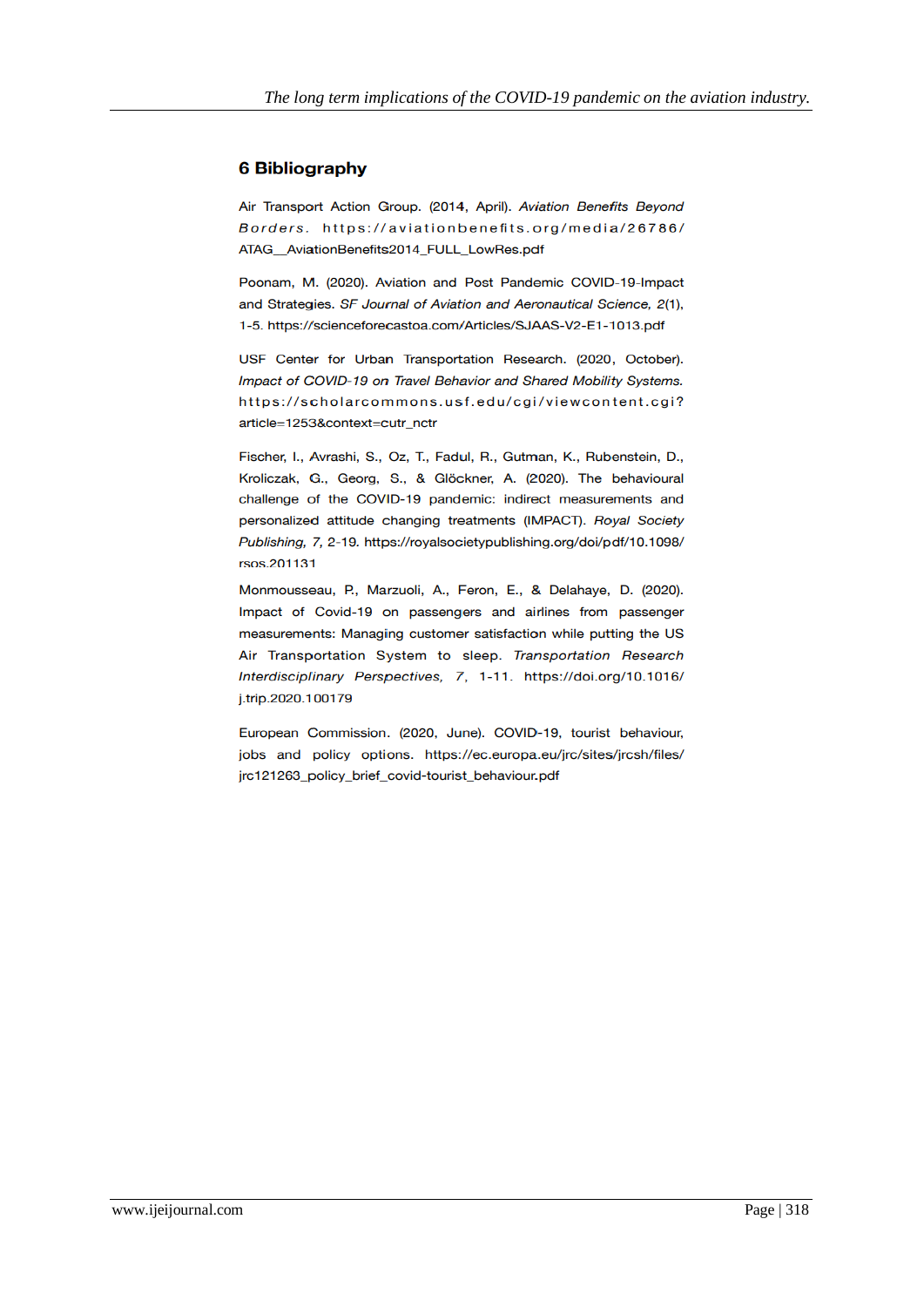# **6 Bibliography**

Air Transport Action Group. (2014, April). Aviation Benefits Beyond Borders. https://aviationbenefits.org/media/26786/ ATAG AviationBenefits2014 FULL LowRes.pdf

Poonam, M. (2020). Aviation and Post Pandemic COVID-19-Impact and Strategies. SF Journal of Aviation and Aeronautical Science, 2(1), 1-5. https://scienceforecastoa.com/Articles/SJAAS-V2-E1-1013.pdf

USF Center for Urban Transportation Research. (2020, October). Impact of COVID-19 on Travel Behavior and Shared Mobility Systems. https://scholarcommons.usf.edu/cgi/viewcontent.cgi? article=1253&context=cutr\_nctr

Fischer, I., Avrashi, S., Oz, T., Fadul, R., Gutman, K., Rubenstein, D., Kroliczak, G., Georg, S., & Glöckner, A. (2020). The behavioural challenge of the COVID-19 pandemic: indirect measurements and personalized attitude changing treatments (IMPACT). Royal Society Publishing, 7, 2-19. https://royalsocietypublishing.org/doi/pdf/10.1098/ rsos.201131

Monmousseau, P., Marzuoli, A., Feron, E., & Delahaye, D. (2020). Impact of Covid-19 on passengers and airlines from passenger measurements: Managing customer satisfaction while putting the US Air Transportation System to sleep. Transportation Research Interdisciplinary Perspectives, 7, 1-11. https://doi.org/10.1016/ j.trip.2020.100179

European Commission. (2020, June). COVID-19, tourist behaviour, jobs and policy options. https://ec.europa.eu/jrc/sites/jrcsh/files/ jrc121263\_policy\_brief\_covid-tourist\_behaviour.pdf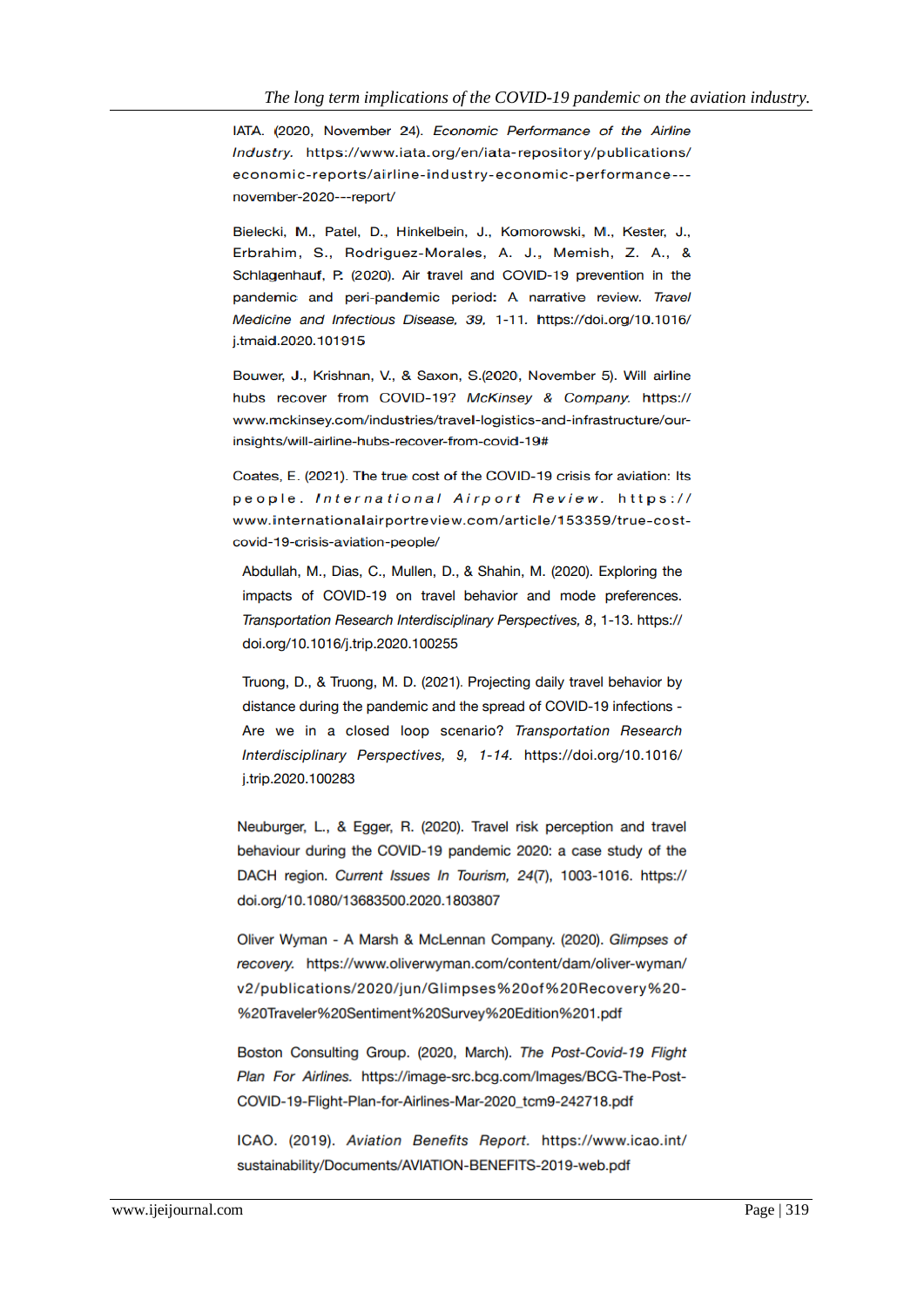IATA. (2020, November 24). Economic Performance of the Airline Industry. https://www.iata.org/en/iata-repository/publications/ economic-reports/airline-industry-economic-performance--november-2020---report/

Bielecki, M., Patel, D., Hinkelbein, J., Komorowski, M., Kester, J., Erbrahim, S., Rodriguez-Morales, A. J., Memish, Z. A., & Schlagenhauf, P. (2020). Air travel and COVID-19 prevention in the pandemic and peri-pandemic period: A narrative review. Travel Medicine and Infectious Disease, 39, 1-11. https://doi.org/10.1016/ j.tmaid.2020.101915

Bouwer, J., Krishnan, V., & Saxon, S.(2020, November 5). Will airline hubs recover from COVID-19? McKinsey & Company. https:// www.mckinsey.com/industries/travel-logistics-and-infrastructure/ourinsights/will-airline-hubs-recover-from-covid-19#

Coates, E. (2021). The true cost of the COVID-19 crisis for aviation: Its people. International Airport Review. https:// www.internationalairportreview.com/article/153359/true-costcovid-19-crisis-aviation-people/

Abdullah, M., Dias, C., Mullen, D., & Shahin, M. (2020). Exploring the impacts of COVID-19 on travel behavior and mode preferences. Transportation Research Interdisciplinary Perspectives, 8, 1-13, https:// doi.org/10.1016/j.trip.2020.100255

Truong, D., & Truong, M. D. (2021). Projecting daily travel behavior by distance during the pandemic and the spread of COVID-19 infections -Are we in a closed loop scenario? Transportation Research Interdisciplinary Perspectives, 9, 1-14. https://doi.org/10.1016/ j.trip.2020.100283

Neuburger, L., & Egger, R. (2020). Travel risk perception and travel behaviour during the COVID-19 pandemic 2020: a case study of the DACH region. Current Issues In Tourism, 24(7), 1003-1016. https:// doi.org/10.1080/13683500.2020.1803807

Oliver Wyman - A Marsh & McLennan Company. (2020). Glimpses of recovery. https://www.oliverwyman.com/content/dam/oliver-wyman/ v2/publications/2020/jun/Glimpses%20of%20Recovery%20-%20Traveler%20Sentiment%20Survey%20Edition%201.pdf

Boston Consulting Group. (2020, March). The Post-Covid-19 Flight Plan For Airlines. https://image-src.bcg.com/Images/BCG-The-Post-COVID-19-Flight-Plan-for-Airlines-Mar-2020\_tcm9-242718.pdf

ICAO. (2019). Aviation Benefits Report. https://www.icao.int/ sustainability/Documents/AVIATION-BENEFITS-2019-web.pdf